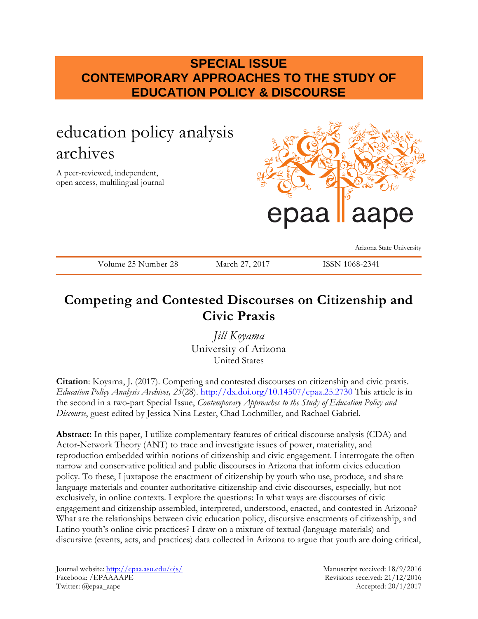## **SPECIAL ISSUE CONTEMPORARY APPROACHES TO THE STUDY OF EDUCATION POLICY & DISCOURSE**

# education policy analysis archives

A peer-reviewed, independent, open access, multilingual journal



Arizona State University

Volume 25 Number 28 March 27, 2017 ISSN 1068-2341

## **Competing and Contested Discourses on Citizenship and Civic Praxis**

*Jill Koyama* University of Arizona United States

**Citation**: Koyama, J. (2017). Competing and contested discourses on citizenship and civic praxis. *Education Policy Analysis Archives, 25*(28). <http://dx.doi.org/10.14507/epaa.25.2730> This article is in the second in a two-part Special Issue, *Contemporary Approaches to the Study of Education Policy and Discourse*, guest edited by Jessica Nina Lester, Chad Lochmiller, and Rachael Gabriel.

**Abstract:** In this paper, I utilize complementary features of critical discourse analysis (CDA) and Actor-Network Theory (ANT) to trace and investigate issues of power, materiality, and reproduction embedded within notions of citizenship and civic engagement. I interrogate the often narrow and conservative political and public discourses in Arizona that inform civics education policy. To these, I juxtapose the enactment of citizenship by youth who use, produce, and share language materials and counter authoritative citizenship and civic discourses, especially, but not exclusively, in online contexts. I explore the questions: In what ways are discourses of civic engagement and citizenship assembled, interpreted, understood, enacted, and contested in Arizona? What are the relationships between civic education policy, discursive enactments of citizenship, and Latino youth's online civic practices? I draw on a mixture of textual (language materials) and discursive (events, acts, and practices) data collected in Arizona to argue that youth are doing critical,

Journal website:<http://epaa.asu.edu/ojs/> Manuscript received: 18/9/2016 Facebook: /EPAAAAPE Revisions received: 21/12/2016 Twitter: @epaa\_aape Accepted: 20/1/2017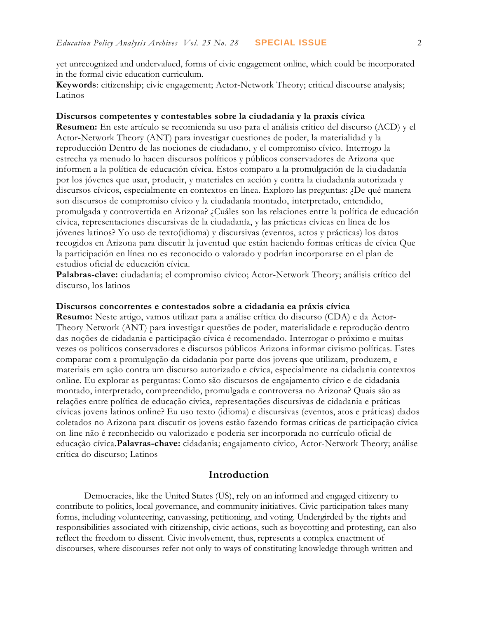yet unrecognized and undervalued, forms of civic engagement online, which could be incorporated in the formal civic education curriculum.

**Keywords**: citizenship; civic engagement; Actor-Network Theory; critical discourse analysis; Latinos

#### **Discursos competentes y contestables sobre la ciudadanía y la praxis cívica**

**Resumen:** En este artículo se recomienda su uso para el análisis crítico del discurso (ACD) y el Actor-Network Theory (ANT) para investigar cuestiones de poder, la materialidad y la reproducción Dentro de las nociones de ciudadano, y el compromiso cívico. Interrogo la estrecha ya menudo lo hacen discursos políticos y públicos conservadores de Arizona que informen a la política de educación cívica. Estos comparo a la promulgación de la ciudadanía por los jóvenes que usar, producir, y materiales en acción y contra la ciudadanía autorizada y discursos cívicos, especialmente en contextos en línea. Exploro las preguntas: ¿De qué manera son discursos de compromiso cívico y la ciudadanía montado, interpretado, entendido, promulgada y controvertida en Arizona? ¿Cuáles son las relaciones entre la política de educación cívica, representaciones discursivas de la ciudadanía, y las prácticas cívicas en línea de los jóvenes latinos? Yo uso de texto(idioma) y discursivas (eventos, actos y prácticas) los datos recogidos en Arizona para discutir la juventud que están haciendo formas críticas de cívica Que la participación en línea no es reconocido o valorado y podrían incorporarse en el plan de estudios oficial de educación cívica.

**Palabras-clave:** ciudadanía; el compromiso cívico; Actor-Network Theory; análisis crítico del discurso, los latinos

#### **Discursos concorrentes e contestados sobre a cidadania ea práxis cívica**

**Resumo:** Neste artigo, vamos utilizar para a análise crítica do discurso (CDA) e da Actor-Theory Network (ANT) para investigar questões de poder, materialidade e reprodução dentro das noções de cidadania e participação cívica é recomendado. Interrogar o próximo e muitas vezes os políticos conservadores e discursos públicos Arizona informar civismo políticas. Estes comparar com a promulgação da cidadania por parte dos jovens que utilizam, produzem, e materiais em ação contra um discurso autorizado e cívica, especialmente na cidadania contextos online. Eu explorar as perguntas: Como são discursos de engajamento cívico e de cidadania montado, interpretado, compreendido, promulgada e controversa no Arizona? Quais são as relações entre política de educação cívica, representações discursivas de cidadania e práticas cívicas jovens latinos online? Eu uso texto (idioma) e discursivas (eventos, atos e práticas) dados coletados no Arizona para discutir os jovens estão fazendo formas críticas de participação cívica on-line não é reconhecido ou valorizado e poderia ser incorporada no currículo oficial de educação cívica.**Palavras-chave:** cidadania; engajamento cívico, Actor-Network Theory; análise crítica do discurso; Latinos

## **Introduction**

Democracies, like the United States (US), rely on an informed and engaged citizenry to contribute to politics, local governance, and community initiatives. Civic participation takes many forms, including volunteering, canvassing, petitioning, and voting. Undergirded by the rights and responsibilities associated with citizenship, civic actions, such as boycotting and protesting, can also reflect the freedom to dissent. Civic involvement, thus, represents a complex enactment of discourses, where discourses refer not only to ways of constituting knowledge through written and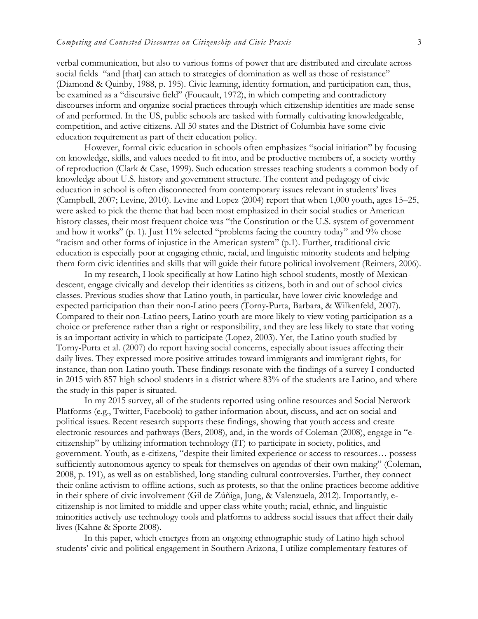verbal communication, but also to various forms of power that are distributed and circulate across social fields "and [that] can attach to strategies of domination as well as those of resistance" (Diamond & Quinby, 1988, p. 195). Civic learning, identity formation, and participation can, thus, be examined as a "discursive field" (Foucault, 1972), in which competing and contradictory discourses inform and organize social practices through which citizenship identities are made sense of and performed. In the US, public schools are tasked with formally cultivating knowledgeable, competition, and active citizens. All 50 states and the District of Columbia have some civic education requirement as part of their education policy.

However, formal civic education in schools often emphasizes "social initiation" by focusing on knowledge, skills, and values needed to fit into, and be productive members of, a society worthy of reproduction (Clark & Case, 1999). Such education stresses teaching students a common body of knowledge about U.S. history and government structure. The content and pedagogy of civic education in school is often disconnected from contemporary issues relevant in students' lives (Campbell, 2007; Levine, 2010). Levine and Lopez (2004) report that when 1,000 youth, ages 15–25, were asked to pick the theme that had been most emphasized in their social studies or American history classes, their most frequent choice was "the Constitution or the U.S. system of government and how it works" (p. 1). Just 11% selected "problems facing the country today" and 9% chose "racism and other forms of injustice in the American system" (p.1). Further, traditional civic education is especially poor at engaging ethnic, racial, and linguistic minority students and helping them form civic identities and skills that will guide their future political involvement (Reimers, 2006).

In my research, I look specifically at how Latino high school students, mostly of Mexicandescent, engage civically and develop their identities as citizens, both in and out of school civics classes. Previous studies show that Latino youth, in particular, have lower civic knowledge and expected participation than their non-Latino peers (Torny-Purta, Barbara, & Wilkenfeld, 2007). Compared to their non-Latino peers, Latino youth are more likely to view voting participation as a choice or preference rather than a right or responsibility, and they are less likely to state that voting is an important activity in which to participate (Lopez, 2003). Yet, the Latino youth studied by Torny-Purta et al. (2007) do report having social concerns, especially about issues affecting their daily lives. They expressed more positive attitudes toward immigrants and immigrant rights, for instance, than non-Latino youth. These findings resonate with the findings of a survey I conducted in 2015 with 857 high school students in a district where 83% of the students are Latino, and where the study in this paper is situated.

In my 2015 survey, all of the students reported using online resources and Social Network Platforms (e.g., Twitter, Facebook) to gather information about, discuss, and act on social and political issues. Recent research supports these findings, showing that youth access and create electronic resources and pathways (Bers, 2008), and, in the words of Coleman (2008), engage in "ecitizenship" by utilizing information technology (IT) to participate in society, politics, and government. Youth, as e-citizens, "despite their limited experience or access to resources… possess sufficiently autonomous agency to speak for themselves on agendas of their own making" (Coleman, 2008, p. 191), as well as on established, long standing cultural controversies. Further, they connect their online activism to offline actions, such as protests, so that the online practices become additive in their sphere of civic involvement (Gil de Zúñiga, Jung, & Valenzuela, 2012). Importantly, ecitizenship is not limited to middle and upper class white youth; racial, ethnic, and linguistic minorities actively use technology tools and platforms to address social issues that affect their daily lives (Kahne & Sporte 2008).

In this paper, which emerges from an ongoing ethnographic study of Latino high school students' civic and political engagement in Southern Arizona, I utilize complementary features of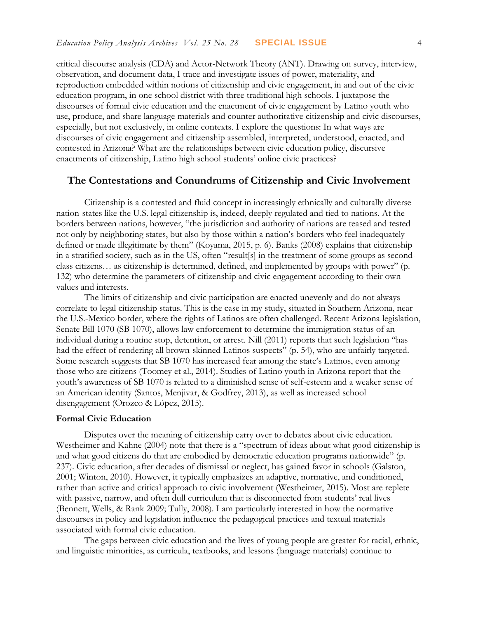critical discourse analysis (CDA) and Actor-Network Theory (ANT). Drawing on survey, interview, observation, and document data, I trace and investigate issues of power, materiality, and reproduction embedded within notions of citizenship and civic engagement, in and out of the civic education program, in one school district with three traditional high schools. I juxtapose the discourses of formal civic education and the enactment of civic engagement by Latino youth who use, produce, and share language materials and counter authoritative citizenship and civic discourses, especially, but not exclusively, in online contexts. I explore the questions: In what ways are discourses of civic engagement and citizenship assembled, interpreted, understood, enacted, and contested in Arizona? What are the relationships between civic education policy, discursive enactments of citizenship, Latino high school students' online civic practices?

## **The Contestations and Conundrums of Citizenship and Civic Involvement**

Citizenship is a contested and fluid concept in increasingly ethnically and culturally diverse nation-states like the U.S. legal citizenship is, indeed, deeply regulated and tied to nations. At the borders between nations, however, "the jurisdiction and authority of nations are teased and tested not only by neighboring states, but also by those within a nation's borders who feel inadequately defined or made illegitimate by them" (Koyama, 2015, p. 6). Banks (2008) explains that citizenship in a stratified society, such as in the US, often "result[s] in the treatment of some groups as secondclass citizens… as citizenship is determined, defined, and implemented by groups with power" (p. 132) who determine the parameters of citizenship and civic engagement according to their own values and interests.

The limits of citizenship and civic participation are enacted unevenly and do not always correlate to legal citizenship status. This is the case in my study, situated in Southern Arizona, near the U.S.-Mexico border, where the rights of Latinos are often challenged. Recent Arizona legislation, Senate Bill 1070 (SB 1070), allows law enforcement to determine the immigration status of an individual during a routine stop, detention, or arrest. Nill (2011) reports that such legislation "has had the effect of rendering all brown-skinned Latinos suspects" (p. 54), who are unfairly targeted. Some research suggests that SB 1070 has increased fear among the state's Latinos, even among those who are citizens (Toomey et al., 2014). Studies of Latino youth in Arizona report that the youth's awareness of SB 1070 is related to a diminished sense of self-esteem and a weaker sense of an American identity (Santos, Menjivar, & Godfrey, 2013), as well as increased school disengagement (Orozco & López, 2015).

#### **Formal Civic Education**

Disputes over the meaning of citizenship carry over to debates about civic education. Westheimer and Kahne (2004) note that there is a "spectrum of ideas about what good citizenship is and what good citizens do that are embodied by democratic education programs nationwide" (p. 237). Civic education, after decades of dismissal or neglect, has gained favor in schools (Galston, 2001; Winton, 2010). However, it typically emphasizes an adaptive, normative, and conditioned, rather than active and critical approach to civic involvement (Westheimer, 2015). Most are replete with passive, narrow, and often dull curriculum that is disconnected from students' real lives (Bennett, Wells, & Rank 2009; Tully, 2008). I am particularly interested in how the normative discourses in policy and legislation influence the pedagogical practices and textual materials associated with formal civic education.

The gaps between civic education and the lives of young people are greater for racial, ethnic, and linguistic minorities, as curricula, textbooks, and lessons (language materials) continue to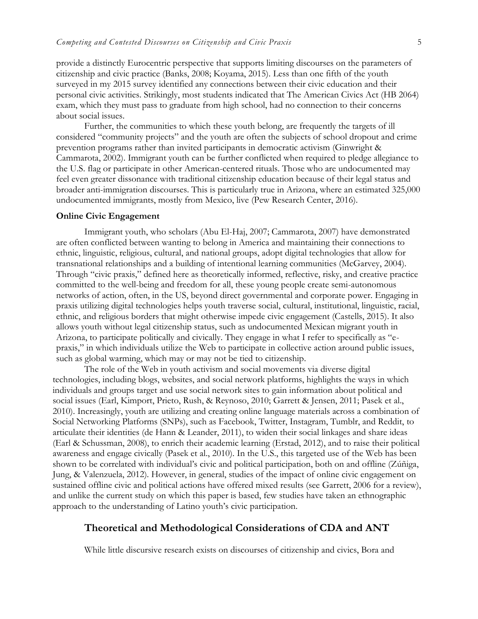provide a distinctly Eurocentric perspective that supports limiting discourses on the parameters of citizenship and civic practice (Banks, 2008; Koyama, 2015). Less than one fifth of the youth surveyed in my 2015 survey identified any connections between their civic education and their personal civic activities. Strikingly, most students indicated that The American Civics Act (HB 2064) exam, which they must pass to graduate from high school, had no connection to their concerns about social issues.

Further, the communities to which these youth belong, are frequently the targets of ill considered "community projects" and the youth are often the subjects of school dropout and crime prevention programs rather than invited participants in democratic activism (Ginwright & Cammarota, 2002). Immigrant youth can be further conflicted when required to pledge allegiance to the U.S. flag or participate in other American-centered rituals. Those who are undocumented may feel even greater dissonance with traditional citizenship education because of their legal status and broader anti-immigration discourses. This is particularly true in Arizona, where an estimated 325,000 undocumented immigrants, mostly from Mexico, live (Pew Research Center, 2016).

#### **Online Civic Engagement**

Immigrant youth, who scholars (Abu El-Haj, 2007; Cammarota, 2007) have demonstrated are often conflicted between wanting to belong in America and maintaining their connections to ethnic, linguistic, religious, cultural, and national groups, adopt digital technologies that allow for transnational relationships and a building of intentional learning communities (McGarvey, 2004). Through "civic praxis," defined here as theoretically informed, reflective, risky, and creative practice committed to the well-being and freedom for all, these young people create semi-autonomous networks of action, often, in the US, beyond direct governmental and corporate power. Engaging in praxis utilizing digital technologies helps youth traverse social, cultural, institutional, linguistic, racial, ethnic, and religious borders that might otherwise impede civic engagement (Castells, 2015). It also allows youth without legal citizenship status, such as undocumented Mexican migrant youth in Arizona, to participate politically and civically. They engage in what I refer to specifically as "epraxis," in which individuals utilize the Web to participate in collective action around public issues, such as global warming, which may or may not be tied to citizenship.

The role of the Web in youth activism and social movements via diverse digital technologies, including blogs, websites, and social network platforms, highlights the ways in which individuals and groups target and use social network sites to gain information about political and social issues (Earl, Kimport, Prieto, Rush, & Reynoso, 2010; Garrett & Jensen, 2011; Pasek et al., 2010). Increasingly, youth are utilizing and creating online language materials across a combination of Social Networking Platforms (SNPs), such as Facebook, Twitter, Instagram, Tumblr, and Reddit, to articulate their identities (de Hann & Leander, 2011), to widen their social linkages and share ideas (Earl & Schussman, 2008), to enrich their academic learning (Erstad, 2012), and to raise their political awareness and engage civically (Pasek et al., 2010). In the U.S., this targeted use of the Web has been shown to be correlated with individual's civic and political participation, both on and offline (Zúñiga, Jung, & Valenzuela, 2012). However, in general, studies of the impact of online civic engagement on sustained offline civic and political actions have offered mixed results (see Garrett, 2006 for a review), and unlike the current study on which this paper is based, few studies have taken an ethnographic approach to the understanding of Latino youth's civic participation.

## **Theoretical and Methodological Considerations of CDA and ANT**

While little discursive research exists on discourses of citizenship and civics, Bora and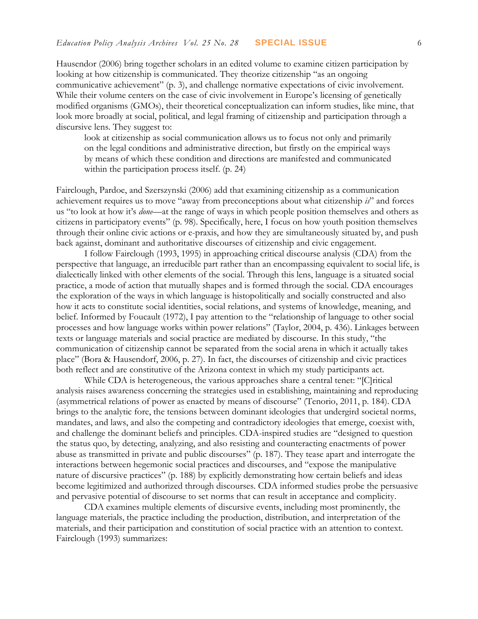Hausendor (2006) bring together scholars in an edited volume to examine citizen participation by looking at how citizenship is communicated. They theorize citizenship "as an ongoing communicative achievement" (p. 3), and challenge normative expectations of civic involvement. While their volume centers on the case of civic involvement in Europe's licensing of genetically modified organisms (GMOs), their theoretical conceptualization can inform studies, like mine, that look more broadly at social, political, and legal framing of citizenship and participation through a discursive lens. They suggest to:

look at citizenship as social communication allows us to focus not only and primarily on the legal conditions and administrative direction, but firstly on the empirical ways by means of which these condition and directions are manifested and communicated within the participation process itself. (p. 24)

Fairclough, Pardoe, and Szerszynski (2006) add that examining citizenship as a communication achievement requires us to move "away from preconceptions about what citizenship *is*" and forces us "to look at how it's *done*—at the range of ways in which people position themselves and others as citizens in participatory events" (p. 98). Specifically, here, I focus on how youth position themselves through their online civic actions or e-praxis, and how they are simultaneously situated by, and push back against, dominant and authoritative discourses of citizenship and civic engagement.

I follow Fairclough (1993, 1995) in approaching critical discourse analysis (CDA) from the perspective that language, an irreducible part rather than an encompassing equivalent to social life, is dialectically linked with other elements of the social. Through this lens, language is a situated social practice, a mode of action that mutually shapes and is formed through the social. CDA encourages the exploration of the ways in which language is histopolitically and socially constructed and also how it acts to constitute social identities, social relations, and systems of knowledge, meaning, and belief. Informed by Foucault (1972), I pay attention to the "relationship of language to other social processes and how language works within power relations" (Taylor, 2004, p. 436). Linkages between texts or language materials and social practice are mediated by discourse. In this study, "the communication of citizenship cannot be separated from the social arena in which it actually takes place" (Bora & Hausendorf, 2006, p. 27). In fact, the discourses of citizenship and civic practices both reflect and are constitutive of the Arizona context in which my study participants act.

While CDA is heterogeneous, the various approaches share a central tenet: "[C]ritical analysis raises awareness concerning the strategies used in establishing, maintaining and reproducing (asymmetrical relations of power as enacted by means of discourse" (Tenorio, 2011, p. 184). CDA brings to the analytic fore, the tensions between dominant ideologies that undergird societal norms, mandates, and laws, and also the competing and contradictory ideologies that emerge, coexist with, and challenge the dominant beliefs and principles. CDA-inspired studies are "designed to question the status quo, by detecting, analyzing, and also resisting and counteracting enactments of power abuse as transmitted in private and public discourses" (p. 187). They tease apart and interrogate the interactions between hegemonic social practices and discourses, and "expose the manipulative nature of discursive practices" (p. 188) by explicitly demonstrating how certain beliefs and ideas become legitimized and authorized through discourses. CDA informed studies probe the persuasive and pervasive potential of discourse to set norms that can result in acceptance and complicity.

CDA examines multiple elements of discursive events, including most prominently, the language materials, the practice including the production, distribution, and interpretation of the materials, and their participation and constitution of social practice with an attention to context. Fairclough (1993) summarizes: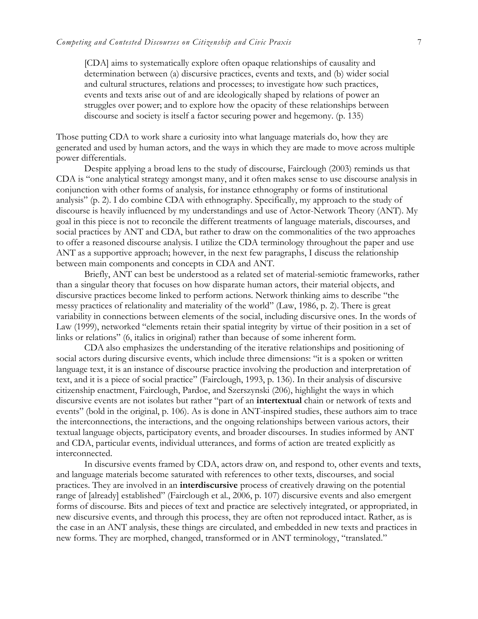[CDA] aims to systematically explore often opaque relationships of causality and determination between (a) discursive practices, events and texts, and (b) wider social and cultural structures, relations and processes; to investigate how such practices, events and texts arise out of and are ideologically shaped by relations of power an struggles over power; and to explore how the opacity of these relationships between discourse and society is itself a factor securing power and hegemony. (p. 135)

Those putting CDA to work share a curiosity into what language materials do, how they are generated and used by human actors, and the ways in which they are made to move across multiple power differentials.

Despite applying a broad lens to the study of discourse, Fairclough (2003) reminds us that CDA is "one analytical strategy amongst many, and it often makes sense to use discourse analysis in conjunction with other forms of analysis, for instance ethnography or forms of institutional analysis" (p. 2). I do combine CDA with ethnography. Specifically, my approach to the study of discourse is heavily influenced by my understandings and use of Actor-Network Theory (ANT). My goal in this piece is not to reconcile the different treatments of language materials, discourses, and social practices by ANT and CDA, but rather to draw on the commonalities of the two approaches to offer a reasoned discourse analysis. I utilize the CDA terminology throughout the paper and use ANT as a supportive approach; however, in the next few paragraphs, I discuss the relationship between main components and concepts in CDA and ANT.

Briefly, ANT can best be understood as a related set of material-semiotic frameworks, rather than a singular theory that focuses on how disparate human actors, their material objects, and discursive practices become linked to perform actions. Network thinking aims to describe "the messy practices of relationality and materiality of the world" (Law, 1986, p. 2). There is great variability in connections between elements of the social, including discursive ones. In the words of Law (1999), networked "elements retain their spatial integrity by virtue of their position in a set of links or relations" (6, italics in original) rather than because of some inherent form.

CDA also emphasizes the understanding of the iterative relationships and positioning of social actors during discursive events, which include three dimensions: "it is a spoken or written language text, it is an instance of discourse practice involving the production and interpretation of text, and it is a piece of social practice" (Fairclough, 1993, p. 136). In their analysis of discursive citizenship enactment, Fairclough, Pardoe, and Szerszynski (206), highlight the ways in which discursive events are not isolates but rather "part of an **intertextual** chain or network of texts and events" (bold in the original, p. 106). As is done in ANT-inspired studies, these authors aim to trace the interconnections, the interactions, and the ongoing relationships between various actors, their textual language objects, participatory events, and broader discourses. In studies informed by ANT and CDA, particular events, individual utterances, and forms of action are treated explicitly as interconnected.

In discursive events framed by CDA, actors draw on, and respond to, other events and texts, and language materials become saturated with references to other texts, discourses, and social practices. They are involved in an **interdiscursive** process of creatively drawing on the potential range of [already] established" (Fairclough et al., 2006, p. 107) discursive events and also emergent forms of discourse. Bits and pieces of text and practice are selectively integrated, or appropriated, in new discursive events, and through this process, they are often not reproduced intact. Rather, as is the case in an ANT analysis, these things are circulated, and embedded in new texts and practices in new forms. They are morphed, changed, transformed or in ANT terminology, "translated."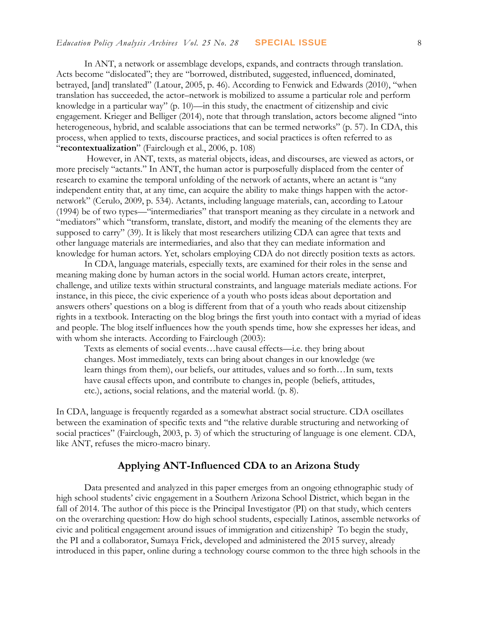In ANT, a network or assemblage develops, expands, and contracts through translation. Acts become "dislocated"; they are "borrowed, distributed, suggested, influenced, dominated, betrayed, [and] translated" (Latour, 2005, p. 46). According to Fenwick and Edwards (2010), "when translation has succeeded, the actor–network is mobilized to assume a particular role and perform knowledge in a particular way" (p. 10)—in this study, the enactment of citizenship and civic engagement. Krieger and Belliger (2014), note that through translation, actors become aligned "into heterogeneous, hybrid, and scalable associations that can be termed networks" (p. 57). In CDA, this process, when applied to texts, discourse practices, and social practices is often referred to as "**recontextualization**" (Fairclough et al., 2006, p. 108)

However, in ANT, texts, as material objects, ideas, and discourses, are viewed as actors, or more precisely "actants." In ANT, the human actor is purposefully displaced from the center of research to examine the temporal unfolding of the network of actants, where an actant is "any independent entity that, at any time, can acquire the ability to make things happen with the actornetwork" (Cerulo, 2009, p. 534). Actants, including language materials, can, according to Latour (1994) be of two types—"intermediaries" that transport meaning as they circulate in a network and "mediators" which "transform, translate, distort, and modify the meaning of the elements they are supposed to carry" (39). It is likely that most researchers utilizing CDA can agree that texts and other language materials are intermediaries, and also that they can mediate information and knowledge for human actors. Yet, scholars employing CDA do not directly position texts as actors.

In CDA, language materials, especially texts, are examined for their roles in the sense and meaning making done by human actors in the social world. Human actors create, interpret, challenge, and utilize texts within structural constraints, and language materials mediate actions. For instance, in this piece, the civic experience of a youth who posts ideas about deportation and answers others' questions on a blog is different from that of a youth who reads about citizenship rights in a textbook. Interacting on the blog brings the first youth into contact with a myriad of ideas and people. The blog itself influences how the youth spends time, how she expresses her ideas, and with whom she interacts. According to Fairclough (2003):

Texts as elements of social events…have causal effects—i.e. they bring about changes. Most immediately, texts can bring about changes in our knowledge (we learn things from them), our beliefs, our attitudes, values and so forth…In sum, texts have causal effects upon, and contribute to changes in, people (beliefs, attitudes, etc.), actions, social relations, and the material world. (p. 8).

In CDA, language is frequently regarded as a somewhat abstract social structure. CDA oscillates between the examination of specific texts and "the relative durable structuring and networking of social practices" (Fairclough, 2003, p. 3) of which the structuring of language is one element. CDA, like ANT, refuses the micro-macro binary.

## **Applying ANT-Influenced CDA to an Arizona Study**

Data presented and analyzed in this paper emerges from an ongoing ethnographic study of high school students' civic engagement in a Southern Arizona School District, which began in the fall of 2014. The author of this piece is the Principal Investigator (PI) on that study, which centers on the overarching question: How do high school students, especially Latinos, assemble networks of civic and political engagement around issues of immigration and citizenship? To begin the study, the PI and a collaborator, Sumaya Frick, developed and administered the 2015 survey, already introduced in this paper, online during a technology course common to the three high schools in the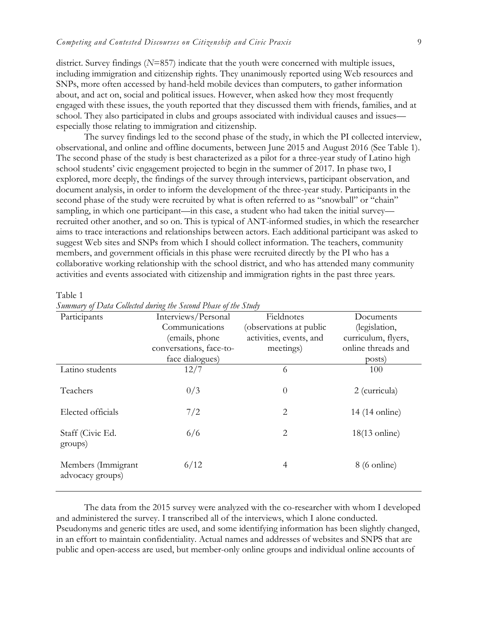district. Survey findings (*N*=857) indicate that the youth were concerned with multiple issues, including immigration and citizenship rights. They unanimously reported using Web resources and SNPs, more often accessed by hand-held mobile devices than computers, to gather information about, and act on, social and political issues. However, when asked how they most frequently engaged with these issues, the youth reported that they discussed them with friends, families, and at school. They also participated in clubs and groups associated with individual causes and issues especially those relating to immigration and citizenship.

The survey findings led to the second phase of the study, in which the PI collected interview, observational, and online and offline documents, between June 2015 and August 2016 (See Table 1). The second phase of the study is best characterized as a pilot for a three-year study of Latino high school students' civic engagement projected to begin in the summer of 2017. In phase two, I explored, more deeply, the findings of the survey through interviews, participant observation, and document analysis, in order to inform the development of the three-year study. Participants in the second phase of the study were recruited by what is often referred to as "snowball" or "chain" sampling, in which one participant—in this case, a student who had taken the initial survey recruited other another, and so on. This is typical of ANT-informed studies, in which the researcher aims to trace interactions and relationships between actors. Each additional participant was asked to suggest Web sites and SNPs from which I should collect information. The teachers, community members, and government officials in this phase were recruited directly by the PI who has a collaborative working relationship with the school district, and who has attended many community activities and events associated with citizenship and immigration rights in the past three years.

| ЯΓ | וו |  |
|----|----|--|
|    |    |  |

| Participants                           | Interviews/Personal     | Fieldnotes              | Documents           |
|----------------------------------------|-------------------------|-------------------------|---------------------|
|                                        | Communications          | (observations at public | (legislation,       |
|                                        | (emails, phone          | activities, events, and | curriculum, flyers, |
|                                        | conversations, face-to- | meetings)               | online threads and  |
|                                        | face dialogues)         |                         | posts)              |
| Latino students                        | 12/7                    | 6                       | 100                 |
| Teachers                               | 0/3                     | $\overline{0}$          | 2 (curricula)       |
| Elected officials                      | 7/2                     | $\overline{2}$          | 14 (14 online)      |
| Staff (Civic Ed.<br>groups)            | 6/6                     | $\overline{2}$          | $18(13)$ online)    |
| Members (Immigrant<br>advocacy groups) | 6/12                    | 4                       | $8(6)$ online)      |
|                                        |                         |                         |                     |

*Summary of Data Collected during the Second Phase of the Study*

The data from the 2015 survey were analyzed with the co-researcher with whom I developed and administered the survey. I transcribed all of the interviews, which I alone conducted. Pseudonyms and generic titles are used, and some identifying information has been slightly changed, in an effort to maintain confidentiality. Actual names and addresses of websites and SNPS that are public and open-access are used, but member-only online groups and individual online accounts of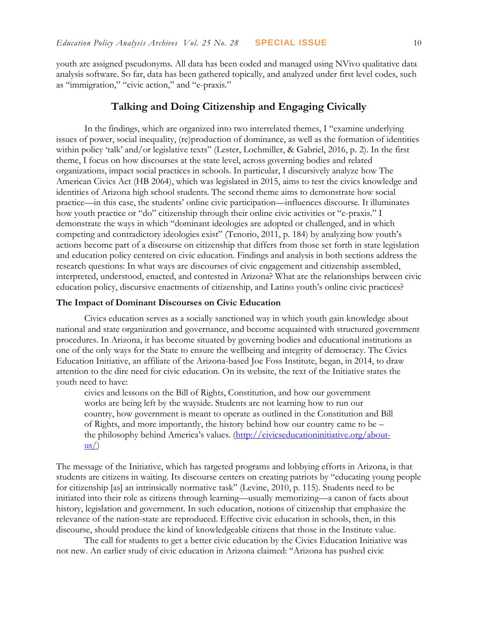youth are assigned pseudonyms. All data has been coded and managed using NVivo qualitative data analysis software. So far, data has been gathered topically, and analyzed under first level codes, such as "immigration," "civic action," and "e-praxis."

## **Talking and Doing Citizenship and Engaging Civically**

In the findings, which are organized into two interrelated themes, I "examine underlying issues of power, social inequality, (re)production of dominance, as well as the formation of identities within policy 'talk' and/or legislative texts" (Lester, Lochmiller, & Gabriel, 2016, p. 2). In the first theme, I focus on how discourses at the state level, across governing bodies and related organizations, impact social practices in schools. In particular, I discursively analyze how The American Civics Act (HB 2064), which was legislated in 2015, aims to test the civics knowledge and identities of Arizona high school students. The second theme aims to demonstrate how social practice—in this case, the students' online civic participation—influences discourse. It illuminates how youth practice or "do" citizenship through their online civic activities or "e-praxis." I demonstrate the ways in which "dominant ideologies are adopted or challenged, and in which competing and contradictory ideologies exist" (Tenorio, 2011, p. 184) by analyzing how youth's actions become part of a discourse on citizenship that differs from those set forth in state legislation and education policy centered on civic education. Findings and analysis in both sections address the research questions: In what ways are discourses of civic engagement and citizenship assembled, interpreted, understood, enacted, and contested in Arizona? What are the relationships between civic education policy, discursive enactments of citizenship, and Latino youth's online civic practices?

#### **The Impact of Dominant Discourses on Civic Education**

Civics education serves as a socially sanctioned way in which youth gain knowledge about national and state organization and governance, and become acquainted with structured government procedures. In Arizona, it has become situated by governing bodies and educational institutions as one of the only ways for the State to ensure the wellbeing and integrity of democracy. The Civics Education Initiative, an affiliate of the Arizona-based Joe Foss Institute, began, in 2014, to draw attention to the dire need for civic education. On its website, the text of the Initiative states the youth need to have:

civics and lessons on the Bill of Rights, Constitution, and how our government works are being left by the wayside. Students are not learning how to run our country, how government is meant to operate as outlined in the Constitution and Bill of Rights, and more importantly, the history behind how our country came to be – the philosophy behind America's values. ([http://civicseducationinitiative.org/about-](http://civicseducationinitiative.org/about-us/) $\frac{\text{us}}{\text{u}}$ 

The message of the Initiative, which has targeted programs and lobbying efforts in Arizona, is that students are citizens in waiting. Its discourse centers on creating patriots by "educating young people for citizenship [as] an intrinsically normative task" (Levine, 2010, p. 115). Students need to be initiated into their role as citizens through learning—usually memorizing—a canon of facts about history, legislation and government. In such education, notions of citizenship that emphasize the relevance of the nation-state are reproduced. Effective civic education in schools, then, in this discourse, should produce the kind of knowledgeable citizens that those in the Institute value.

The call for students to get a better civic education by the Civics Education Initiative was not new. An earlier study of civic education in Arizona claimed: "Arizona has pushed civic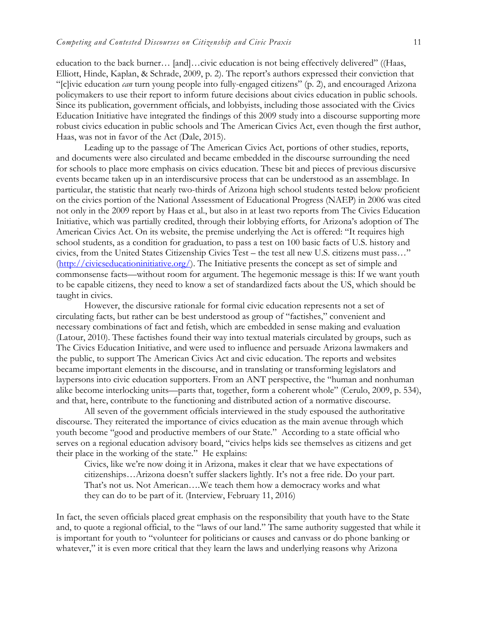education to the back burner… [and]…civic education is not being effectively delivered" ((Haas, Elliott, Hinde, Kaplan, & Schrade, 2009, p. 2). The report's authors expressed their conviction that "[c]ivic education *can* turn young people into fully-engaged citizens" (p. 2), and encouraged Arizona policymakers to use their report to inform future decisions about civics education in public schools. Since its publication, government officials, and lobbyists, including those associated with the Civics Education Initiative have integrated the findings of this 2009 study into a discourse supporting more robust civics education in public schools and The American Civics Act, even though the first author, Haas, was not in favor of the Act (Dale, 2015).

Leading up to the passage of The American Civics Act, portions of other studies, reports, and documents were also circulated and became embedded in the discourse surrounding the need for schools to place more emphasis on civics education. These bit and pieces of previous discursive events became taken up in an interdiscursive process that can be understood as an assemblage. In particular, the statistic that nearly two-thirds of Arizona high school students tested below proficient on the civics portion of the National Assessment of Educational Progress (NAEP) in 2006 was cited not only in the 2009 report by Haas et al., but also in at least two reports from The Civics Education Initiative, which was partially credited, through their lobbying efforts, for Arizona's adoption of The American Civics Act. On its website, the premise underlying the Act is offered: "It requires high school students, as a condition for graduation, to pass a test on 100 basic facts of U.S. history and civics, from the United States Citizenship Civics Test – the test all new U.S. citizens must pass…" [\(http://civicseducationinitiative.org/\)](http://civicseducationinitiative.org/). The Initiative presents the concept as set of simple and commonsense facts—without room for argument. The hegemonic message is this: If we want youth to be capable citizens, they need to know a set of standardized facts about the US, which should be taught in civics.

However, the discursive rationale for formal civic education represents not a set of circulating facts, but rather can be best understood as group of "factishes," convenient and necessary combinations of fact and fetish, which are embedded in sense making and evaluation (Latour, 2010). These factishes found their way into textual materials circulated by groups, such as The Civics Education Initiative, and were used to influence and persuade Arizona lawmakers and the public, to support The American Civics Act and civic education. The reports and websites became important elements in the discourse, and in translating or transforming legislators and laypersons into civic education supporters. From an ANT perspective, the "human and nonhuman alike become interlocking units—parts that, together, form a coherent whole" (Cerulo, 2009, p. 534), and that, here, contribute to the functioning and distributed action of a normative discourse.

All seven of the government officials interviewed in the study espoused the authoritative discourse. They reiterated the importance of civics education as the main avenue through which youth become "good and productive members of our State." According to a state official who serves on a regional education advisory board, "civics helps kids see themselves as citizens and get their place in the working of the state." He explains:

Civics, like we're now doing it in Arizona, makes it clear that we have expectations of citizenships…Arizona doesn't suffer slackers lightly. It's not a free ride. Do your part. That's not us. Not American….We teach them how a democracy works and what they can do to be part of it. (Interview, February 11, 2016)

In fact, the seven officials placed great emphasis on the responsibility that youth have to the State and, to quote a regional official, to the "laws of our land." The same authority suggested that while it is important for youth to "volunteer for politicians or causes and canvass or do phone banking or whatever," it is even more critical that they learn the laws and underlying reasons why Arizona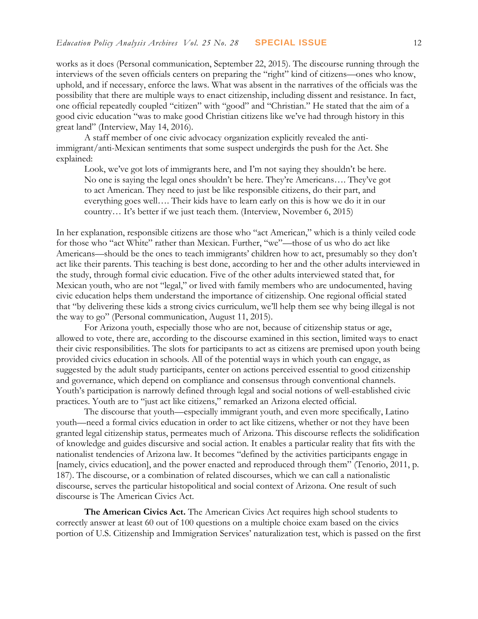works as it does (Personal communication, September 22, 2015). The discourse running through the interviews of the seven officials centers on preparing the "right" kind of citizens—ones who know, uphold, and if necessary, enforce the laws. What was absent in the narratives of the officials was the possibility that there are multiple ways to enact citizenship, including dissent and resistance. In fact, one official repeatedly coupled "citizen" with "good" and "Christian." He stated that the aim of a good civic education "was to make good Christian citizens like we've had through history in this great land" (Interview, May 14, 2016).

A staff member of one civic advocacy organization explicitly revealed the antiimmigrant/anti-Mexican sentiments that some suspect undergirds the push for the Act. She explained:

Look, we've got lots of immigrants here, and I'm not saying they shouldn't be here. No one is saying the legal ones shouldn't be here. They're Americans…. They've got to act American. They need to just be like responsible citizens, do their part, and everything goes well…. Their kids have to learn early on this is how we do it in our country… It's better if we just teach them. (Interview, November 6, 2015)

In her explanation, responsible citizens are those who "act American," which is a thinly veiled code for those who "act White" rather than Mexican. Further, "we"—those of us who do act like Americans—should be the ones to teach immigrants' children how to act, presumably so they don't act like their parents. This teaching is best done, according to her and the other adults interviewed in the study, through formal civic education. Five of the other adults interviewed stated that, for Mexican youth, who are not "legal," or lived with family members who are undocumented, having civic education helps them understand the importance of citizenship. One regional official stated that "by delivering these kids a strong civics curriculum, we'll help them see why being illegal is not the way to go" (Personal communication, August 11, 2015).

For Arizona youth, especially those who are not, because of citizenship status or age, allowed to vote, there are, according to the discourse examined in this section, limited ways to enact their civic responsibilities. The slots for participants to act as citizens are premised upon youth being provided civics education in schools. All of the potential ways in which youth can engage, as suggested by the adult study participants, center on actions perceived essential to good citizenship and governance, which depend on compliance and consensus through conventional channels. Youth's participation is narrowly defined through legal and social notions of well-established civic practices. Youth are to "just act like citizens," remarked an Arizona elected official.

The discourse that youth—especially immigrant youth, and even more specifically, Latino youth—need a formal civics education in order to act like citizens, whether or not they have been granted legal citizenship status, permeates much of Arizona. This discourse reflects the solidification of knowledge and guides discursive and social action. It enables a particular reality that fits with the nationalist tendencies of Arizona law. It becomes "defined by the activities participants engage in [namely, civics education], and the power enacted and reproduced through them" (Tenorio, 2011, p. 187). The discourse, or a combination of related discourses, which we can call a nationalistic discourse, serves the particular histopolitical and social context of Arizona. One result of such discourse is The American Civics Act.

**The American Civics Act.** The American Civics Act requires high school students to correctly answer at least 60 out of 100 questions on a multiple choice exam based on the civics portion of U.S. Citizenship and Immigration Services' naturalization test, which is passed on the first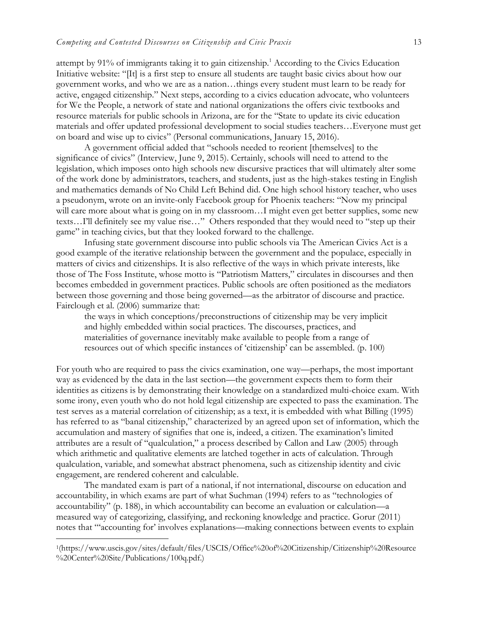attempt by 91% of immigrants taking it to gain citizenship.<sup>1</sup> According to the Civics Education Initiative website: "[It] is a first step to ensure all students are taught basic civics about how our government works, and who we are as a nation…things every student must learn to be ready for active, engaged citizenship." Next steps, according to a civics education advocate, who volunteers for We the People, a network of state and national organizations the offers civic textbooks and resource materials for public schools in Arizona, are for the "State to update its civic education materials and offer updated professional development to social studies teachers…Everyone must get on board and wise up to civics" (Personal communications, January 15, 2016).

A government official added that "schools needed to reorient [themselves] to the significance of civics" (Interview, June 9, 2015). Certainly, schools will need to attend to the legislation, which imposes onto high schools new discursive practices that will ultimately alter some of the work done by administrators, teachers, and students, just as the high-stakes testing in English and mathematics demands of No Child Left Behind did. One high school history teacher, who uses a pseudonym, wrote on an invite-only Facebook group for Phoenix teachers: "Now my principal will care more about what is going on in my classroom...I might even get better supplies, some new texts…I'll definitely see my value rise…" Others responded that they would need to "step up their game" in teaching civics, but that they looked forward to the challenge.

Infusing state government discourse into public schools via The American Civics Act is a good example of the iterative relationship between the government and the populace, especially in matters of civics and citizenships. It is also reflective of the ways in which private interests, like those of The Foss Institute, whose motto is "Patriotism Matters," circulates in discourses and then becomes embedded in government practices. Public schools are often positioned as the mediators between those governing and those being governed—as the arbitrator of discourse and practice. Fairclough et al. (2006) summarize that:

the ways in which conceptions/preconstructions of citizenship may be very implicit and highly embedded within social practices. The discourses, practices, and materialities of governance inevitably make available to people from a range of resources out of which specific instances of 'citizenship' can be assembled. (p. 100)

For youth who are required to pass the civics examination, one way—perhaps, the most important way as evidenced by the data in the last section—the government expects them to form their identities as citizens is by demonstrating their knowledge on a standardized multi-choice exam. With some irony, even youth who do not hold legal citizenship are expected to pass the examination. The test serves as a material correlation of citizenship; as a text, it is embedded with what Billing (1995) has referred to as "banal citizenship," characterized by an agreed upon set of information, which the accumulation and mastery of signifies that one is, indeed, a citizen. The examination's limited attributes are a result of "qualculation," a process described by Callon and Law (2005) through which arithmetic and qualitative elements are latched together in acts of calculation. Through qualculation, variable, and somewhat abstract phenomena, such as citizenship identity and civic engagement, are rendered coherent and calculable.

The mandated exam is part of a national, if not international, discourse on education and accountability, in which exams are part of what Suchman (1994) refers to as "technologies of accountability" (p. 188), in which accountability can become an evaluation or calculation—a measured way of categorizing, classifying, and reckoning knowledge and practice. Gorur (2011) notes that "'accounting for' involves explanations—making connections between events to explain

 $\overline{a}$ 

<sup>1</sup> (https://www.uscis.gov/sites/default/files/USCIS/Office%20of%20Citizenship/Citizenship%20Resource %20Center%20Site/Publications/100q.pdf.)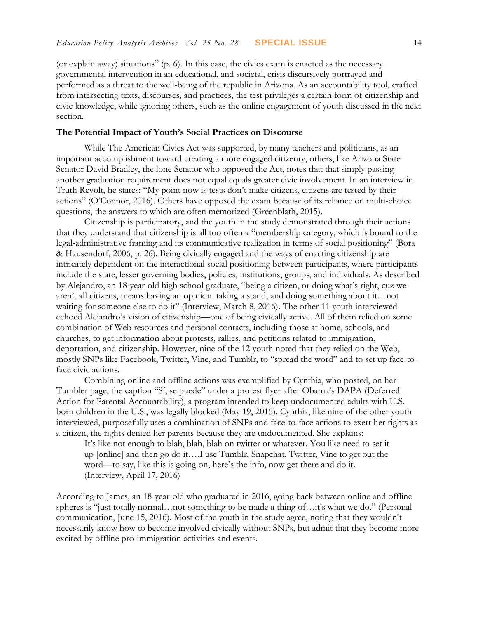(or explain away) situations" (p. 6). In this case, the civics exam is enacted as the necessary governmental intervention in an educational, and societal, crisis discursively portrayed and performed as a threat to the well-being of the republic in Arizona. As an accountability tool, crafted from intersecting texts, discourses, and practices, the test privileges a certain form of citizenship and civic knowledge, while ignoring others, such as the online engagement of youth discussed in the next section.

#### **The Potential Impact of Youth's Social Practices on Discourse**

While The American Civics Act was supported, by many teachers and politicians, as an important accomplishment toward creating a more engaged citizenry, others, like Arizona State Senator David Bradley, the lone Senator who opposed the Act, notes that that simply passing another graduation requirement does not equal equals greater civic involvement. In an interview in Truth Revolt, he states: "My point now is tests don't make citizens, citizens are tested by their actions" (O'Connor, 2016). Others have opposed the exam because of its reliance on multi-choice questions, the answers to which are often memorized (Greenblath, 2015).

Citizenship is participatory, and the youth in the study demonstrated through their actions that they understand that citizenship is all too often a "membership category, which is bound to the legal-administrative framing and its communicative realization in terms of social positioning" (Bora & Hausendorf, 2006, p. 26). Being civically engaged and the ways of enacting citizenship are intricately dependent on the interactional social positioning between participants, where participants include the state, lesser governing bodies, policies, institutions, groups, and individuals. As described by Alejandro, an 18-year-old high school graduate, "being a citizen, or doing what's right, cuz we aren't all citizens, means having an opinion, taking a stand, and doing something about it…not waiting for someone else to do it" (Interview, March 8, 2016). The other 11 youth interviewed echoed Alejandro's vision of citizenship—one of being civically active. All of them relied on some combination of Web resources and personal contacts, including those at home, schools, and churches, to get information about protests, rallies, and petitions related to immigration, deportation, and citizenship. However, nine of the 12 youth noted that they relied on the Web, mostly SNPs like Facebook, Twitter, Vine, and Tumblr, to "spread the word" and to set up face-toface civic actions.

Combining online and offline actions was exemplified by Cynthia, who posted, on her Tumbler page, the caption "Sí, se puede" under a protest flyer after Obama's DAPA (Deferred Action for Parental Accountability), a program intended to keep undocumented adults with U.S. born children in the U.S., was legally blocked (May 19, 2015). Cynthia, like nine of the other youth interviewed, purposefully uses a combination of SNPs and face-to-face actions to exert her rights as a citizen, the rights denied her parents because they are undocumented. She explains:

It's like not enough to blah, blah, blah on twitter or whatever. You like need to set it up [online] and then go do it….I use Tumblr, Snapchat, Twitter, Vine to get out the word—to say, like this is going on, here's the info, now get there and do it. (Interview, April 17, 2016)

According to James, an 18-year-old who graduated in 2016, going back between online and offline spheres is "just totally normal…not something to be made a thing of…it's what we do." (Personal communication, June 15, 2016). Most of the youth in the study agree, noting that they wouldn't necessarily know how to become involved civically without SNPs, but admit that they become more excited by offline pro-immigration activities and events.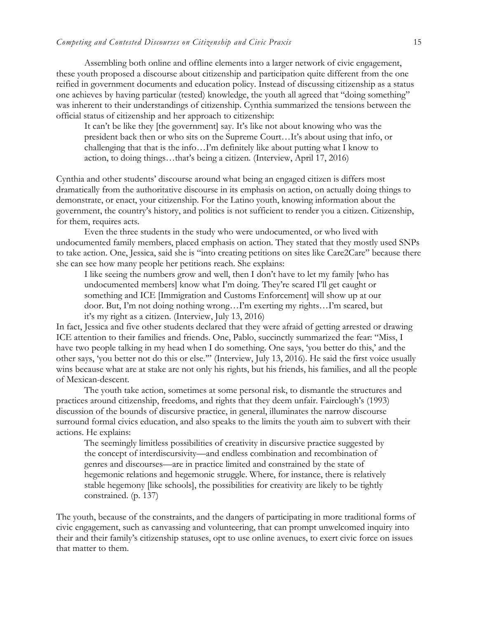Assembling both online and offline elements into a larger network of civic engagement, these youth proposed a discourse about citizenship and participation quite different from the one reified in government documents and education policy. Instead of discussing citizenship as a status one achieves by having particular (tested) knowledge, the youth all agreed that "doing something" was inherent to their understandings of citizenship. Cynthia summarized the tensions between the official status of citizenship and her approach to citizenship:

It can't be like they [the government] say. It's like not about knowing who was the president back then or who sits on the Supreme Court…It's about using that info, or challenging that that is the info…I'm definitely like about putting what I know to action, to doing things…that's being a citizen. (Interview, April 17, 2016)

Cynthia and other students' discourse around what being an engaged citizen is differs most dramatically from the authoritative discourse in its emphasis on action, on actually doing things to demonstrate, or enact, your citizenship. For the Latino youth, knowing information about the government, the country's history, and politics is not sufficient to render you a citizen. Citizenship, for them, requires acts.

Even the three students in the study who were undocumented, or who lived with undocumented family members, placed emphasis on action. They stated that they mostly used SNPs to take action. One, Jessica, said she is "into creating petitions on sites like Care2Care" because there she can see how many people her petitions reach. She explains:

I like seeing the numbers grow and well, then I don't have to let my family [who has undocumented members] know what I'm doing. They're scared I'll get caught or something and ICE [Immigration and Customs Enforcement] will show up at our door. But, I'm not doing nothing wrong…I'm exerting my rights…I'm scared, but it's my right as a citizen. (Interview, July 13, 2016)

In fact, Jessica and five other students declared that they were afraid of getting arrested or drawing ICE attention to their families and friends. One, Pablo, succinctly summarized the fear: "Miss, I have two people talking in my head when I do something. One says, 'you better do this,' and the other says, 'you better not do this or else.'" (Interview, July 13, 2016). He said the first voice usually wins because what are at stake are not only his rights, but his friends, his families, and all the people of Mexican-descent.

The youth take action, sometimes at some personal risk, to dismantle the structures and practices around citizenship, freedoms, and rights that they deem unfair. Fairclough's (1993) discussion of the bounds of discursive practice, in general, illuminates the narrow discourse surround formal civics education, and also speaks to the limits the youth aim to subvert with their actions. He explains:

The seemingly limitless possibilities of creativity in discursive practice suggested by the concept of interdiscursivity—and endless combination and recombination of genres and discourses—are in practice limited and constrained by the state of hegemonic relations and hegemonic struggle. Where, for instance, there is relatively stable hegemony [like schools], the possibilities for creativity are likely to be tightly constrained. (p. 137)

The youth, because of the constraints, and the dangers of participating in more traditional forms of civic engagement, such as canvassing and volunteering, that can prompt unwelcomed inquiry into their and their family's citizenship statuses, opt to use online avenues, to exert civic force on issues that matter to them.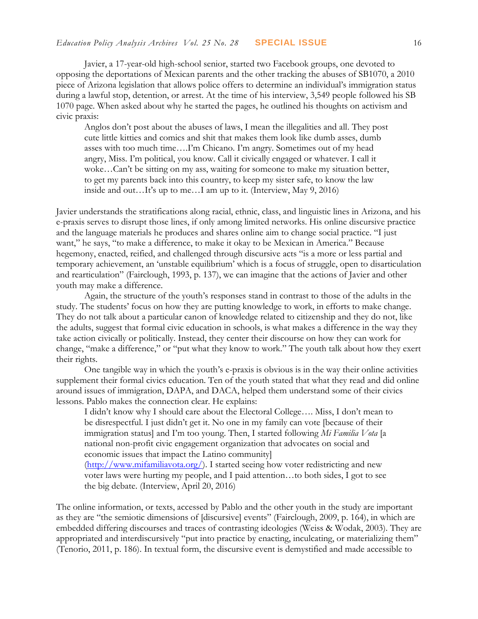Javier, a 17-year-old high-school senior, started two Facebook groups, one devoted to opposing the deportations of Mexican parents and the other tracking the abuses of SB1070, a 2010 piece of Arizona legislation that allows police offers to determine an individual's immigration status during a lawful stop, detention, or arrest. At the time of his interview, 3,549 people followed his SB 1070 page. When asked about why he started the pages, he outlined his thoughts on activism and civic praxis:

Anglos don't post about the abuses of laws, I mean the illegalities and all. They post cute little kitties and comics and shit that makes them look like dumb asses, dumb asses with too much time….I'm Chicano. I'm angry. Sometimes out of my head angry, Miss. I'm political, you know. Call it civically engaged or whatever. I call it woke…Can't be sitting on my ass, waiting for someone to make my situation better, to get my parents back into this country, to keep my sister safe, to know the law inside and out…It's up to me…I am up to it. (Interview, May 9, 2016)

Javier understands the stratifications along racial, ethnic, class, and linguistic lines in Arizona, and his e-praxis serves to disrupt those lines, if only among limited networks. His online discursive practice and the language materials he produces and shares online aim to change social practice. "I just want," he says, "to make a difference, to make it okay to be Mexican in America." Because hegemony, enacted, reified, and challenged through discursive acts "is a more or less partial and temporary achievement, an 'unstable equilibrium' which is a focus of struggle, open to disarticulation and rearticulation" (Fairclough, 1993, p. 137), we can imagine that the actions of Javier and other youth may make a difference.

Again, the structure of the youth's responses stand in contrast to those of the adults in the study. The students' focus on how they are putting knowledge to work, in efforts to make change. They do not talk about a particular canon of knowledge related to citizenship and they do not, like the adults, suggest that formal civic education in schools, is what makes a difference in the way they take action civically or politically. Instead, they center their discourse on how they can work for change, "make a difference," or "put what they know to work." The youth talk about how they exert their rights.

One tangible way in which the youth's e-praxis is obvious is in the way their online activities supplement their formal civics education. Ten of the youth stated that what they read and did online around issues of immigration, DAPA, and DACA, helped them understand some of their civics lessons. Pablo makes the connection clear. He explains:

I didn't know why I should care about the Electoral College…. Miss, I don't mean to be disrespectful. I just didn't get it. No one in my family can vote [because of their immigration status] and I'm too young. Then, I started following *Mi Familia Vota* [a national non-profit civic engagement organization that advocates on social and economic issues that impact the Latino community]

[\(http://www.mifamiliavota.org/\)](http://www.mifamiliavota.org/). I started seeing how voter redistricting and new voter laws were hurting my people, and I paid attention…to both sides, I got to see the big debate. (Interview, April 20, 2016)

The online information, or texts, accessed by Pablo and the other youth in the study are important as they are "the semiotic dimensions of [discursive] events" (Fairclough, 2009, p. 164), in which are embedded differing discourses and traces of contrasting ideologies (Weiss & Wodak, 2003). They are appropriated and interdiscursively "put into practice by enacting, inculcating, or materializing them" (Tenorio, 2011, p. 186). In textual form, the discursive event is demystified and made accessible to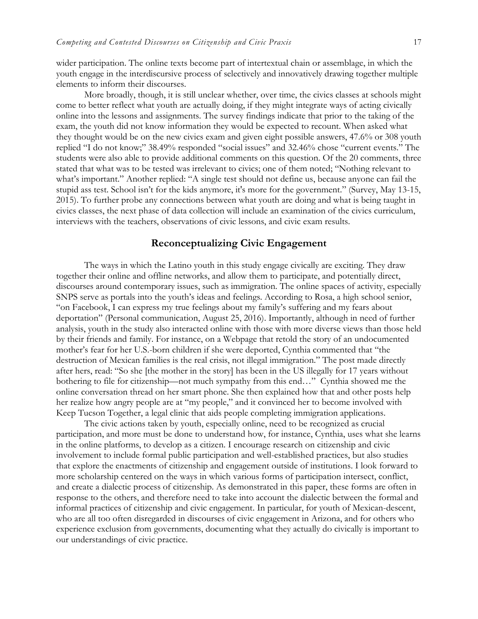wider participation. The online texts become part of intertextual chain or assemblage, in which the youth engage in the interdiscursive process of selectively and innovatively drawing together multiple elements to inform their discourses.

More broadly, though, it is still unclear whether, over time, the civics classes at schools might come to better reflect what youth are actually doing, if they might integrate ways of acting civically online into the lessons and assignments. The survey findings indicate that prior to the taking of the exam, the youth did not know information they would be expected to recount. When asked what they thought would be on the new civics exam and given eight possible answers, 47.6% or 308 youth replied "I do not know;" 38.49% responded "social issues" and 32.46% chose "current events." The students were also able to provide additional comments on this question. Of the 20 comments, three stated that what was to be tested was irrelevant to civics; one of them noted; "Nothing relevant to what's important." Another replied: "A single test should not define us, because anyone can fail the stupid ass test. School isn't for the kids anymore, it's more for the government." (Survey, May 13-15, 2015). To further probe any connections between what youth are doing and what is being taught in civics classes, the next phase of data collection will include an examination of the civics curriculum, interviews with the teachers, observations of civic lessons, and civic exam results.

#### **Reconceptualizing Civic Engagement**

The ways in which the Latino youth in this study engage civically are exciting. They draw together their online and offline networks, and allow them to participate, and potentially direct, discourses around contemporary issues, such as immigration. The online spaces of activity, especially SNPS serve as portals into the youth's ideas and feelings. According to Rosa, a high school senior, "on Facebook, I can express my true feelings about my family's suffering and my fears about deportation" (Personal communication, August 25, 2016). Importantly, although in need of further analysis, youth in the study also interacted online with those with more diverse views than those held by their friends and family. For instance, on a Webpage that retold the story of an undocumented mother's fear for her U.S.-born children if she were deported, Cynthia commented that "the destruction of Mexican families is the real crisis, not illegal immigration." The post made directly after hers, read: "So she [the mother in the story] has been in the US illegally for 17 years without bothering to file for citizenship—not much sympathy from this end…" Cynthia showed me the online conversation thread on her smart phone. She then explained how that and other posts help her realize how angry people are at "my people," and it convinced her to become involved with Keep Tucson Together, a legal clinic that aids people completing immigration applications.

The civic actions taken by youth, especially online, need to be recognized as crucial participation, and more must be done to understand how, for instance, Cynthia, uses what she learns in the online platforms, to develop as a citizen. I encourage research on citizenship and civic involvement to include formal public participation and well-established practices, but also studies that explore the enactments of citizenship and engagement outside of institutions. I look forward to more scholarship centered on the ways in which various forms of participation intersect, conflict, and create a dialectic process of citizenship. As demonstrated in this paper, these forms are often in response to the others, and therefore need to take into account the dialectic between the formal and informal practices of citizenship and civic engagement. In particular, for youth of Mexican-descent, who are all too often disregarded in discourses of civic engagement in Arizona, and for others who experience exclusion from governments, documenting what they actually do civically is important to our understandings of civic practice.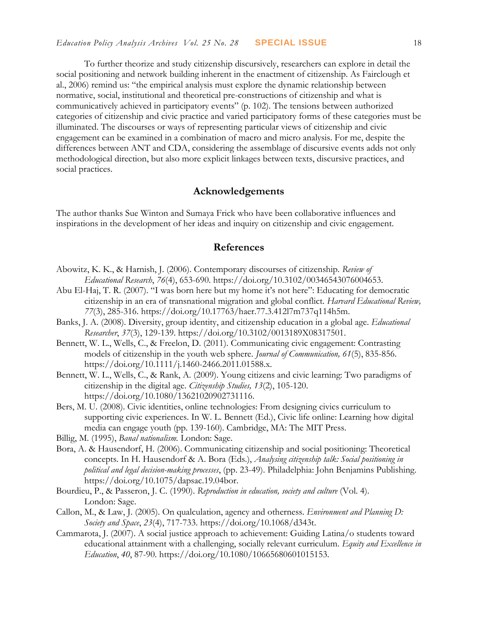To further theorize and study citizenship discursively, researchers can explore in detail the social positioning and network building inherent in the enactment of citizenship. As Fairclough et al., 2006) remind us: "the empirical analysis must explore the dynamic relationship between normative, social, institutional and theoretical pre-constructions of citizenship and what is communicatively achieved in participatory events" (p. 102). The tensions between authorized categories of citizenship and civic practice and varied participatory forms of these categories must be illuminated. The discourses or ways of representing particular views of citizenship and civic engagement can be examined in a combination of macro and micro analysis. For me, despite the differences between ANT and CDA, considering the assemblage of discursive events adds not only methodological direction, but also more explicit linkages between texts, discursive practices, and social practices.

## **Acknowledgements**

The author thanks Sue Winton and Sumaya Frick who have been collaborative influences and inspirations in the development of her ideas and inquiry on citizenship and civic engagement.

#### **References**

- Abowitz, K. K., & Harnish, J. (2006). Contemporary discourses of citizenship. *Review of Educational Research*, *76*(4), 653-690. [https://doi.org/10.3102/00346543076004653.](https://doi.org/10.3102/00346543076004653)
- Abu El-Haj, T. R. (2007). "I was born here but my home it's not here": Educating for democratic citizenship in an era of transnational migration and global conflict. *Harvard Educational Review, 77*(3), 285-316. [https://doi.org/10.17763/haer.77.3.412l7m737q114h5m.](https://doi.org/10.17763/haer.77.3.412l7m737q114h5m)
- Banks, J. A. (2008). Diversity, group identity, and citizenship education in a global age. *Educational Researcher*, *37*(3), 129-139. [https://doi.org/10.3102/0013189X08317501.](https://doi.org/10.3102/0013189X08317501)
- Bennett, W. L., Wells, C., & Freelon, D. (2011). Communicating civic engagement: Contrasting models of citizenship in the youth web sphere. *Journal of Communication, 61*(5), 835-856. [https://doi.org/10.1111/j.1460-2466.2011.01588.x.](https://doi.org/10.1111/j.1460-2466.2011.01588.x)
- Bennett, W. L., Wells, C., & Rank, A. (2009). Young citizens and civic learning: Two paradigms of citizenship in the digital age. *Citizenship Studies, 13*(2), 105-120. [https://doi.org/10.1080/13621020902731116.](https://doi.org/10.1080/13621020902731116)
- Bers, M. U. (2008). Civic identities, online technologies: From designing civics curriculum to supporting civic experiences. In W. L. Bennett (Ed.), Civic life online: Learning how digital media can engage youth (pp. 139-160). Cambridge, MA: The MIT Press.
- Billig, M. (1995), *Banal nationalism.* London: Sage.
- Bora, A. & Hausendorf, H. (2006). Communicating citizenship and social positioning: Theoretical concepts. In H. Hausendorf & A. Bora (Eds.), *Analysing citizenship talk: Social positioning in political and legal decision-making processes*, (pp. 23-49). Philadelphia: John Benjamins Publishing. [https://doi.org/10.1075/dapsac.19.04bor.](https://doi.org/10.1075/dapsac.19.04bor)
- Bourdieu, P., & Passeron, J. C. (1990). *Reproduction in education, society and culture* (Vol. 4). London: Sage.
- Callon, M., & Law, J. (2005). On qualculation, agency and otherness. *Environment and Planning D: Society and Space*, *23*(4), 717-733. [https://doi.org/10.1068/d343t.](https://doi.org/10.1068/d343t)
- Cammarota, J. (2007). A social justice approach to achievement: Guiding Latina/o students toward educational attainment with a challenging, socially relevant curriculum. *Equity and Excellence in Education*, *40*, 87-90. [https://doi.org/10.1080/10665680601015153.](https://doi.org/10.1080/10665680601015153)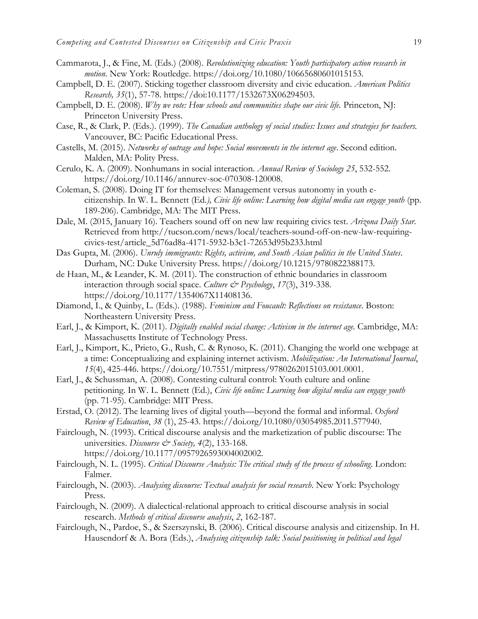- Cammarota, J., & Fine, M. (Eds.) (2008). *Revolutionizing education: Youth participatory action research in motion*. New York: Routledge. [https://doi.org/10.1080/10665680601015153.](https://doi.org/10.1080/10665680601015153)
- Campbell, D. E. (2007). Sticking together classroom diversity and civic education. *American Politics Research, 35*(1), 57-78. [https://doi:10.1177/1532673X06294503.](https://doi:10.1177/1532673X06294503)
- Campbell, D. E. (2008). *Why we vote: How schools and communities shape our civic life.* Princeton, NJ: Princeton University Press.
- Case, R., & Clark, P. (Eds.). (1999). *The Canadian anthology of social studies: Issues and strategies for teachers.*  Vancouver, BC: Pacific Educational Press.
- Castells, M. (2015). *Networks of outrage and hope: Social movements in the internet age*. Second edition. Malden, MA: Polity Press.
- Cerulo, K. A. (2009). Nonhumans in social interaction. *Annual Review of Sociology 25*, 532-552. [https://doi.org/10.1146/annurev-soc-070308-120008.](https://doi.org/10.1146/annurev-soc-070308-120008)
- Coleman, S. (2008). Doing IT for themselves: Management versus autonomy in youth ecitizenship. In W. L. Bennett (Ed*.), Civic life online: Learning how digital media can engage youth* (pp. 189-206). Cambridge, MA: The MIT Press.
- Dale, M. (2015, January 16). Teachers sound off on new law requiring civics test. *Arizona Daily Star*. Retrieved from [http://tucson.com/news/local/teachers-sound-off-on-new-law-requiring](http://tucson.com/news/local/teachers-sound-off-on-new-law-requiring-civics-test/article_5d76ad8a-4171-5932-b3c1-72653d95b233.html)[civics-test/article\\_5d76ad8a-4171-5932-b3c1-72653d95b233.html](http://tucson.com/news/local/teachers-sound-off-on-new-law-requiring-civics-test/article_5d76ad8a-4171-5932-b3c1-72653d95b233.html)
- Das Gupta, M. (2006). *Unruly immigrants: Rights, activism, and South Asian politics in the United States*. Durham, NC: Duke University Press. [https://doi.org/10.1215/9780822388173.](https://doi.org/10.1215/9780822388173)
- de Haan, M., & Leander, K. M. (2011). The construction of ethnic boundaries in classroom interaction through social space. *Culture & Psychology*, 17(3), 319-338. [https://doi.org/10.1177/1354067X11408136.](https://doi.org/10.1177/1354067X11408136)
- Diamond, I., & Quinby, L. (Eds.). (1988). *Feminism and Foucault: Reflections on resistance*. Boston: Northeastern University Press.
- Earl, J., & Kimport, K. (2011). *Digitally enabled social change: Activism in the internet age.* Cambridge, MA: Massachusetts Institute of Technology Press.
- Earl, J., Kimport, K., Prieto, G., Rush, C. & Rynoso, K. (2011). Changing the world one webpage at a time: Conceptualizing and explaining internet activism. *Mobilization: An International Journal*, *15*(4), 425-446. [https://doi.org/10.7551/mitpress/9780262015103.001.0001.](https://doi.org/10.7551/mitpress/9780262015103.001.0001)
- Earl, J., & Schussman, A. (2008). Contesting cultural control: Youth culture and online petitioning. In W. L. Bennett (Ed.), *Civic life online: Learning how digital media can engage youth* (pp. 71-95). Cambridge: MIT Press.
- Erstad, O. (2012). The learning lives of digital youth—beyond the formal and informal. *Oxford Review of Education*, *38* (1), 25-43. [https://doi.org/10.1080/03054985.2011.577940.](https://doi.org/10.1080/03054985.2011.577940)
- Fairclough, N. (1993). Critical discourse analysis and the marketization of public discourse: The universities. *Discourse & Society, 4*(2), 133-168. [https://doi.org/10.1177/0957926593004002002.](https://doi.org/10.1177/0957926593004002002)
- Fairclough, N. L. (1995). *Critical Discourse Analysis: The critical study of the process of schooling*. London: Falmer.
- Fairclough, N. (2003). *Analysing discourse: Textual analysis for social research*. New York: Psychology Press.
- Fairclough, N. (2009). A dialectical-relational approach to critical discourse analysis in social research. *Methods of critical discourse analysis*, *2*, 162-187.
- Fairclough, N., Pardoe, S., & Szerszynski, B. (2006). Critical discourse analysis and citizenship. In H. Hausendorf & A. Bora (Eds.), *Analysing citizenship talk: Social positioning in political and legal*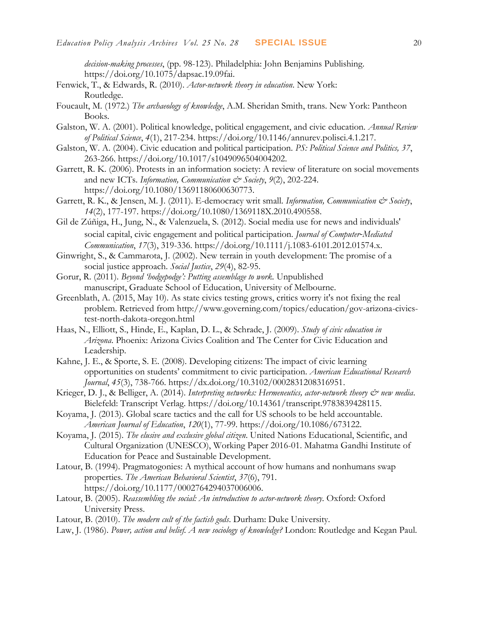*decision-making processes*, (pp. 98-123). Philadelphia: John Benjamins Publishing. [https://doi.org/10.1075/dapsac.19.09fai.](https://doi.org/10.1075/dapsac.19.09fai)

- Fenwick, T., & Edwards, R. (2010). *Actor-network theory in education*. New York: Routledge.
- Foucault, M. (1972.) *The archaeology of knowledge*, A.M. Sheridan Smith, trans. New York: Pantheon Books.
- Galston, W. A. (2001). Political knowledge, political engagement, and civic education. *Annual Review of Political Science*, *4*(1), 217-234. [https://doi.org/10.1146/annurev.polisci.4.1.217.](https://doi.org/10.1146/annurev.polisci.4.1.217)
- Galston, W. A. (2004). Civic education and political participation. *PS: Political Science and Politics, 37*, 263-266. [https://doi.org/10.1017/s1049096504004202.](https://doi.org/10.1017/s1049096504004202)
- Garrett, R. K. (2006). Protests in an information society: A review of literature on social movements and new ICTs. *Information, Communication & Society*, *9*(2), 202-224. [https://doi.org/10.1080/13691180600630773.](https://doi.org/10.1080/13691180600630773)
- Garrett, R. K., & Jensen, M. J. (2011). E-democracy writ small. *Information, Communication & Society*, *14*(2), 177-197. [https://doi.org/10.1080/1369118X.2010.490558.](https://doi.org/10.1080/1369118X.2010.490558)
- Gil de Zúñiga, H., Jung, N., & Valenzuela, S. (2012). Social media use for news and individuals' social capital, civic engagement and political participation. *Journal of Computer‐Mediated Communication*, *17*(3), 319-336. [https://doi.org/10.1111/j.1083-6101.2012.01574.x.](https://doi.org/10.1111/j.1083-6101.2012.01574.x)
- Ginwright, S., & Cammarota, J. (2002). New terrain in youth development: The promise of a social justice approach. *Social Justice*, *29*(4), 82-95.
- Gorur, R. (2011). *Beyond 'hodgepodge': Putting assemblage to work.* Unpublished manuscript, Graduate School of Education, University of Melbourne.
- Greenblath, A. (2015, May 10). As state civics testing grows, critics worry it's not fixing the real problem. Retrieved from [http://www.governing.com/topics/education/gov-arizona-civics](http://www.governing.com/topics/education/gov-arizona-civics-test-north-dakota-oregon.html)[test-north-dakota-oregon.html](http://www.governing.com/topics/education/gov-arizona-civics-test-north-dakota-oregon.html)
- Haas, N., Elliott, S., Hinde, E., Kaplan, D. L., & Schrade, J. (2009). *Study of civic education in Arizona*. Phoenix: Arizona Civics Coalition and The Center for Civic Education and Leadership.
- Kahne, J. E., & Sporte, S. E. (2008). Developing citizens: The impact of civic learning opportunities on students' commitment to civic participation. *American Educational Research Journal*, *45*(3), 738-766. [https://dx.doi.org/10.3102/0002831208316951.](http://dx.doi.org/10.3102/0002831208316951)
- Krieger, D. J., & Belliger, A. (2014). *Interpreting networks: Hermeneutics, actor-network theory*  $\mathcal{O}$  *new media*. Bielefeld: Transcript Verlag. [https://doi.org/10.14361/transcript.9783839428115.](https://doi.org/10.14361/transcript.9783839428115)
- Koyama, J. (2013). Global scare tactics and the call for US schools to be held accountable. *American Journal of Education*, *120*(1), 77-99. [https://doi.org/10.1086/673122.](https://doi.org/10.1086/673122)
- Koyama, J. (2015). *The elusive and exclusive global citizen*. United Nations Educational, Scientific, and Cultural Organization (UNESCO), Working Paper 2016-01. Mahatma Gandhi Institute of Education for Peace and Sustainable Development.
- Latour, B. (1994). Pragmatogonies: A mythical account of how humans and nonhumans swap properties. *The American Behavioral Scientist*, *37*(6), 791. [https://doi.org/10.1177/0002764294037006006.](https://doi.org/10.1177/0002764294037006006)
- Latour, B. (2005). *Reassembling the social: An introduction to actor-network theory*. Oxford: Oxford University Press.
- Latour, B. (2010). *The modern cult of the factish gods*. Durham: Duke University.
- Law, J. (1986). *Power, action and belief. A new sociology of knowledge?* London: Routledge and Kegan Paul.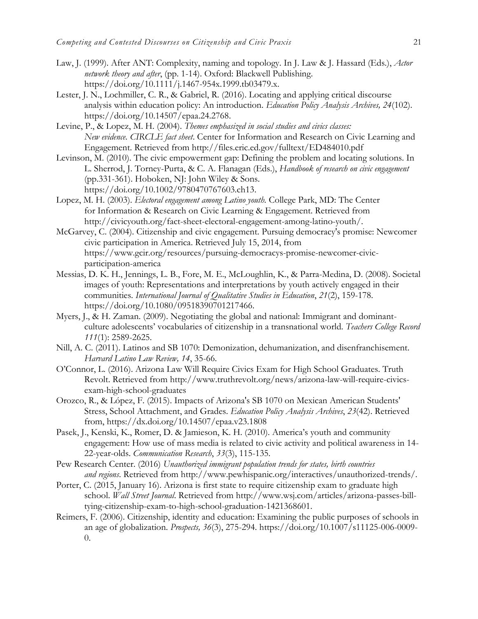- Law, J. (1999). After ANT: Complexity, naming and topology. In J. Law & J. Hassard (Eds.), *Actor network theory and after*, (pp. 1-14). Oxford: Blackwell Publishing. [https://doi.org/10.1111/j.1467-954x.1999.tb03479.x.](https://doi.org/10.1111/j.1467-954x.1999.tb03479.x)
- Lester, J. N., Lochmiller, C. R., & Gabriel, R. (2016). Locating and applying critical discourse analysis within education policy: An introduction. *Education Policy Analysis Archives, 24*(102). [https://doi.org/10.14507/epaa.24.2768.](https://doi.org/10.14507/epaa.24.2768)
- Levine, P., & Lopez, M. H. (2004). *Themes emphasized in social studies and civics classes: New evidence. CIRCLE fact sheet*. Center for Information and Research on Civic Learning and Engagement. Retrieved from<http://files.eric.ed.gov/fulltext/ED484010.pdf>
- Levinson, M. (2010). The civic empowerment gap: Defining the problem and locating solutions. In L. Sherrod, J. Torney-Purta, & C. A. Flanagan (Eds.), *Handbook of research on civic engagement*  (pp.331-361). Hoboken, NJ: John Wiley & Sons. [https://doi.org/10.1002/9780470767603.ch13.](https://doi.org/10.1002/9780470767603.ch13)
- Lopez, M. H. (2003). *Electoral engagement among Latino youth.* College Park, MD: The Center for Information & Research on Civic Learning & Engagement. Retrieved from [http://civicyouth.org/fact-sheet-electoral-engagement-among-latino-youth/.](http://civicyouth.org/fact-sheet-electoral-engagement-among-latino-youth/)
- McGarvey, C. (2004). Citizenship and civic engagement. Pursuing democracy's promise: Newcomer civic participation in America. Retrieved July 15, 2014, from [https://www.gcir.org/resources/pursuing-democracys-promise-newcomer-civic](https://www.gcir.org/resources/pursuing-democracys-promise-newcomer-civic-participation-america)[participation-america](https://www.gcir.org/resources/pursuing-democracys-promise-newcomer-civic-participation-america)
- Messias, D. K. H., Jennings, L. B., Fore, M. E., McLoughlin, K., & Parra-Medina, D. (2008). Societal images of youth: Representations and interpretations by youth actively engaged in their communities. *International Journal of Qualitative Studies in Education*, *21*(2), 159-178. [https://doi.org/10.1080/09518390701217466.](https://doi.org/10.1080/09518390701217466)
- Myers, J., & H. Zaman. (2009). Negotiating the global and national: Immigrant and dominantculture adolescents' vocabularies of citizenship in a transnational world. *Teachers College Record 111*(1): 2589-2625.
- Nill, A. C. (2011). Latinos and SB 1070: Demonization, dehumanization, and disenfranchisement. *Harvard Latino Law Review, 14*, 35-66.
- O'Connor, L. (2016). Arizona Law Will Require Civics Exam for High School Graduates. Truth Revolt. Retrieved from [http://www.truthrevolt.org/news/arizona-law-will-require-civics](http://www.truthrevolt.org/news/arizona-law-will-require-civics-exam-high-school-graduates)[exam-high-school-graduates](http://www.truthrevolt.org/news/arizona-law-will-require-civics-exam-high-school-graduates)
- Orozco, R., & López, F. (2015). Impacts of Arizona's SB 1070 on Mexican American Students' Stress, School Attachment, and Grades. *Education Policy Analysis Archives*, *23*(42). Retrieved from,<https://dx.doi.org/10.14507/epaa.v23.1808>
- Pasek, J., Kenski, K., Romer, D. & Jamieson, K. H. (2010). America's youth and community engagement: How use of mass media is related to civic activity and political awareness in 14- 22-year-olds. *Communication Research*, *33*(3), 115-135.
- Pew Research Center. (2016) *Unauthorized immigrant population trends for states, birth countries and regions*. Retrieved from [http://www.pewhispanic.org/interactives/unauthorized-trends/.](http://www.pewhispanic.org/interactives/unauthorized-trends/)
- Porter, C. (2015, January 16). Arizona is first state to require citizenship exam to graduate high school. *Wall Street Journal*. Retrieved from [http://www.wsj.com/articles/arizona-passes-bill](http://www.wsj.com/articles/arizona-passes-bill-tying-citizenship-exam-to-high-school-graduation-1421368601)[tying-citizenship-exam-to-high-school-graduation-1421368601.](http://www.wsj.com/articles/arizona-passes-bill-tying-citizenship-exam-to-high-school-graduation-1421368601)
- Reimers, F. (2006). Citizenship, identity and education: Examining the public purposes of schools in an age of globalization. *Prospects, 36*(3), 275-294. [https://doi.org/10.1007/s11125-006-0009-](https://doi.org/10.1007/s11125-006-0009-0) [0.](https://doi.org/10.1007/s11125-006-0009-0)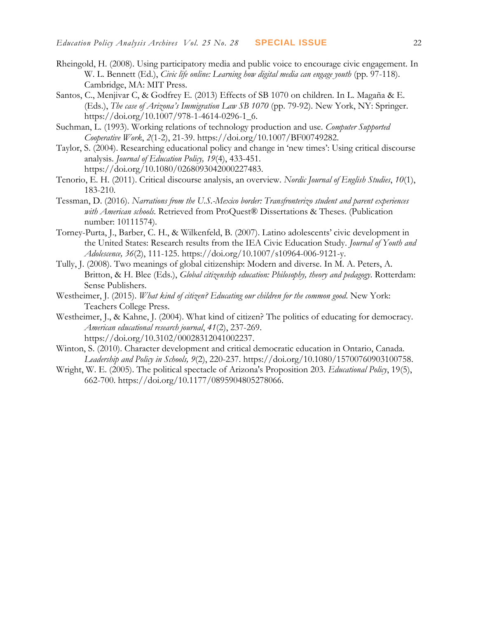- Rheingold, H. (2008). Using participatory media and public voice to encourage civic engagement. In W. L. Bennett (Ed.), *Civic life online: Learning how digital media can engage youth* (pp. 97-118). Cambridge, MA: MIT Press.
- Santos, C., Menjivar C, & Godfrey E. (2013) Effects of SB 1070 on children. In L. Magaña & E. (Eds.), *The case of Arizona's Immigration Law SB 1070* (pp. 79-92). New York, NY: Springer. [https://doi.org/10.1007/978-1-4614-0296-1\\_6.](https://doi.org/10.1007/978-1-4614-0296-1_6)
- Suchman, L. (1993). Working relations of technology production and use. *Computer Supported Cooperative Work*, *2*(1-2), 21-39. [https://doi.org/10.1007/BF00749282.](https://doi.org/10.1007/BF00749282)
- Taylor, S. (2004). Researching educational policy and change in 'new times': Using critical discourse analysis. *Journal of Education Policy, 19*(4), 433-451. [https://doi.org/10.1080/0268093042000227483.](https://doi.org/10.1080/0268093042000227483)
- Tenorio, E. H. (2011). Critical discourse analysis, an overview. *Nordic Journal of English Studies*, *10*(1), 183-210.
- Tessman, D. (2016). *Narrations from the U.S.-Mexico border: Transfronterizo student and parent experiences with American schools.* Retrieved from ProQuest® Dissertations & Theses. (Publication number: 10111574).
- Torney-Purta, J., Barber, C. H., & Wilkenfeld, B. (2007). Latino adolescents' civic development in the United States: Research results from the IEA Civic Education Study. *Journal of Youth and Adolescence, 36*(2), 111-125. [https://doi.org/10.1007/s10964-006-9121-y.](https://doi.org/10.1007/s10964-006-9121-y)
- Tully, J. (2008). Two meanings of global citizenship: Modern and diverse. In M. A. Peters, A. Britton, & H. Blee (Eds.), *Global citizenship education: Philosophy, theory and pedagogy*. Rotterdam: Sense Publishers.
- Westheimer, J. (2015). *What kind of citizen? Educating our children for the common good*. New York: Teachers College Press.
- Westheimer, J., & Kahne, J. (2004). What kind of citizen? The politics of educating for democracy. *American educational research journal*, *41*(2), 237-269. [https://doi.org/10.3102/00028312041002237.](https://doi.org/10.3102/00028312041002237)
- Winton, S. (2010). Character development and critical democratic education in Ontario, Canada. *Leadership and Policy in Schools, 9*(2), 220-237. [https://doi.org/10.1080/15700760903100758.](https://doi.org/10.1080/15700760903100758)
- Wright, W. E. (2005). The political spectacle of Arizona's Proposition 203. *Educational Policy*, 19(5), 662-700. [https://doi.org/10.1177/0895904805278066.](https://doi.org/10.1177/0895904805278066)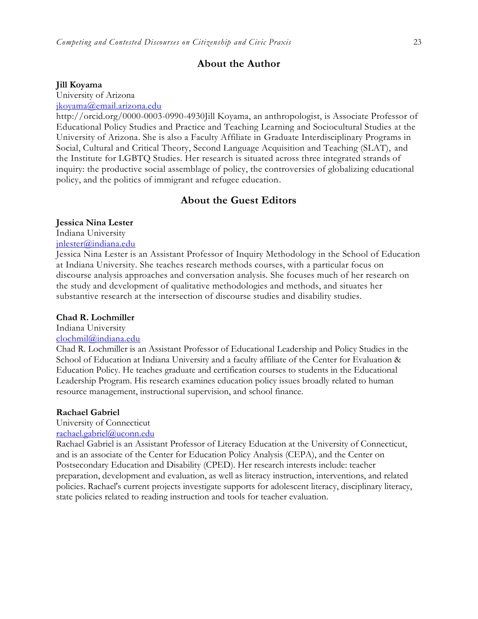#### **About the Author**

#### **Jill Koyama**

University of Arizona

### [jkoyama@email.arizona.edu](mailto:jkoyama@email.arizona.edu)

http://orcid.org/0000-0003-0990-4930Jill Koyama, an anthropologist, is Associate Professor of Educational Policy Studies and Practice and Teaching Learning and Sociocultural Studies at the University of Arizona. She is also a Faculty Affiliate in Graduate Interdisciplinary Programs in Social, Cultural and Critical Theory, Second Language Acquisition and Teaching (SLAT), and the Institute for LGBTQ Studies. Her research is situated across three integrated strands of inquiry: the productive social assemblage of policy, the controversies of globalizing educational policy, and the politics of immigrant and refugee education.

#### **About the Guest Editors**

#### **Jessica Nina Lester**

Indiana University

## [jnlester@indiana.edu](mailto:clochmil@indiana.edu)

Jessica Nina Lester is an Assistant Professor of Inquiry Methodology in the School of Education at Indiana University. She teaches research methods courses, with a particular focus on discourse analysis approaches and conversation analysis. She focuses much of her research on the study and development of qualitative methodologies and methods, and situates her substantive research at the intersection of discourse studies and disability studies.

#### **Chad R. Lochmiller**

## Indiana University

## [clochmil@indiana.edu](mailto:clochmil@indiana.edu)

Chad R. Lochmiller is an Assistant Professor of Educational Leadership and Policy Studies in the School of Education at Indiana University and a faculty affiliate of the Center for Evaluation & Education Policy. He teaches graduate and certification courses to students in the Educational Leadership Program. His research examines education policy issues broadly related to human resource management, instructional supervision, and school finance.

#### **Rachael Gabriel**

University of Connecticut

## [rachael.gabriel@uconn.edu](mailto:rachael.gabriel@uconn.edu)

Rachael Gabriel is an Assistant Professor of Literacy Education at the University of Connecticut, and is an associate of the Center for Education Policy Analysis (CEPA), and the Center on Postsecondary Education and Disability (CPED). Her research interests include: teacher preparation, development and evaluation, as well as literacy instruction, interventions, and related policies. Rachael's current projects investigate supports for adolescent literacy, disciplinary literacy, state policies related to reading instruction and tools for teacher evaluation.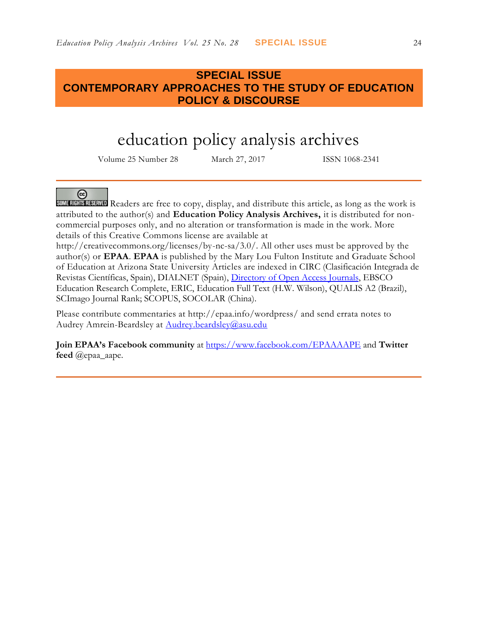## **SPECIAL ISSUE CONTEMPORARY APPROACHES TO THE STUDY OF EDUCATION POLICY & DISCOURSE**

# education policy analysis archives

Volume 25 Number 28 March 27, 2017 ISSN 1068-2341

## @

SOME RIGHTS RESERVED Readers are free to copy, display, and distribute this article, as long as the work is attributed to the author(s) and **Education Policy Analysis Archives,** it is distributed for noncommercial purposes only, and no alteration or transformation is made in the work. More details of this Creative Commons license are available at

http://creativecommons.org/licenses/by-nc-sa/3.0/. All other uses must be approved by the author(s) or **EPAA**. **EPAA** is published by the Mary Lou Fulton Institute and Graduate School of Education at Arizona State University Articles are indexed in CIRC (Clasificación Integrada de Revistas Científicas, Spain), DIALNET (Spain), [Directory of Open Access Journals,](http://www.doaj.org/) EBSCO Education Research Complete, ERIC, Education Full Text (H.W. Wilson), QUALIS A2 (Brazil), SCImago Journal Rank; SCOPUS, SOCOLAR (China).

Please contribute commentaries at http://epaa.info/wordpress/ and send errata notes to Audrey Amrein-Beardsley at [Audrey.beardsley@asu.edu](mailto:Audrey.beardsley@asu.edu)

**Join EPAA's Facebook community** at<https://www.facebook.com/EPAAAAPE> and **Twitter feed** @epaa\_aape.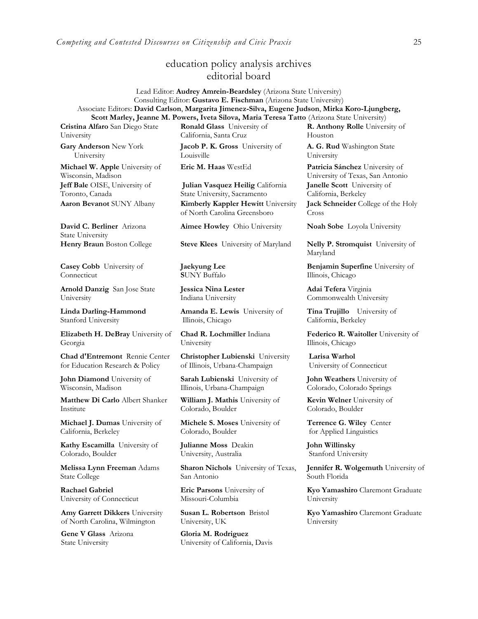## education policy analysis archives editorial board

Lead Editor: **Audrey Amrein-Beardsley** (Arizona State University) Consulting Editor: **Gustavo E. Fischman** (Arizona State University) Associate Editors: **David Carlson**, **Margarita Jimenez-Silva, Eugene Judson**, **Mirka Koro-Ljungberg, Scott Marley, Jeanne M. Powers, Iveta Silova, Maria Teresa Tatto** (Arizona State University)

**Cristina Alfaro** San Diego State University

**Gary Anderson** New York University

**Michael W. Apple** University of Wisconsin, Madison **Jeff Bale** OISE, University of Toronto, Canada

**David C. Berliner** Arizona State University

**Casey Cobb** University of **Connecticut** 

**Arnold Danzig** San Jose State University

**Linda Darling-Hammond**  Stanford University

**Elizabeth H. DeBray** University of Georgia

**Chad d'Entremont** Rennie Center for Education Research & Policy

**John Diamond** University of Wisconsin, Madison

**Matthew Di Carlo** Albert Shanker Institute

**Michael J. Dumas** University of California, Berkeley

**Kathy Escamilla** University of Colorado, Boulder

**Melissa Lynn Freeman** Adams State College

**Rachael Gabriel** University of Connecticut

**Amy Garrett Dikkers** University of North Carolina, Wilmington

**Gene V Glass** Arizona State University

**Ronald Glass** University of California, Santa Cruz

**Jacob P. K. Gross** University of Louisville

**Julian Vasquez Heilig** California State University, Sacramento **Aaron Bevanot** SUNY Albany **Kimberly Kappler Hewitt** University of North Carolina Greensboro

**Aimee Howley** Ohio University **Noah Sobe** Loyola University

**Henry Braun** Boston College **Steve Klees** University of Maryland **Nelly P. Stromquist** University of

**Jaekyung Lee S**UNY Buffalo

**Jessica Nina Lester** Indiana University

**Amanda E. Lewis** University of Illinois, Chicago

**Chad R. Lochmiller** Indiana University

**Christopher Lubienski** University of Illinois, Urbana-Champaign

**Sarah Lubienski** University of Illinois, Urbana-Champaign

**William J. Mathis** University of Colorado, Boulder

**Michele S. Moses** University of Colorado, Boulder

**Julianne Moss** Deakin University, Australia

**Sharon Nichols** University of Texas, San Antonio

**Eric Parsons** University of Missouri-Columbia

**Susan L. Robertson** Bristol University, UK

**Gloria M. Rodriguez** University of California, Davis **R. Anthony Rolle** University of Houston

**A. G. Rud** Washington State University

**Eric M. Haas** WestEd **Patricia Sánchez** University of University of Texas, San Antonio **Janelle Scott** University of California, Berkeley

**Jack Schneider** College of the Holy Cross

Maryland

**Benjamin Superfine** University of Illinois, Chicago

**Adai Tefera** Virginia Commonwealth University

**Tina Trujillo** University of California, Berkeley

**Federico R. Waitoller** University of Illinois, Chicago

**Larisa Warhol** University of Connecticut

**John Weathers** University of Colorado, Colorado Springs

**Kevin Welner** University of Colorado, Boulder

**Terrence G. Wiley** Center for Applied Linguistics

**John Willinsky**  Stanford University

**Jennifer R. Wolgemuth** University of South Florida

**Kyo Yamashiro** Claremont Graduate University

**Kyo Yamashiro** Claremont Graduate University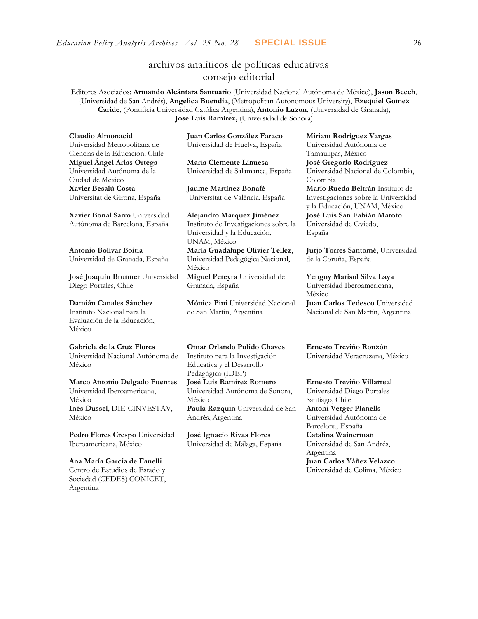## archivos analíticos de políticas educativas consejo editorial

Editores Asociados: **Armando Alcántara Santuario** (Universidad Nacional Autónoma de México), **Jason Beech**, (Universidad de San Andrés), **Angelica Buendia**, (Metropolitan Autonomous University), **Ezequiel Gomez Caride**, (Pontificia Universidad Católica Argentina), **Antonio Luzon**, (Universidad de Granada), **José Luis Ramírez,** (Universidad de Sonora)

**Claudio Almonacid** Universidad Metropolitana de Ciencias de la Educación, Chile **Miguel Ángel Arias Ortega**  Universidad Autónoma de la Ciudad de México **Xavier Besalú Costa**  Universitat de Girona, España

**[Xavier Bonal](javascript:openRTWindow() Sarro** Universidad Autónoma de Barcelona, España

**[Antonio Bolívar](javascript:openRTWindow() Boitia** Universidad de Granada, España

**[José Joaquín Brunner](javascript:openRTWindow()** Universidad Diego Portales, Chile

#### **[Damián Canales Sánchez](javascript:openRTWindow()**

Instituto Nacional para la Evaluación de la Educación, México

#### **Gabriela de la Cruz Flores**

Universidad Nacional Autónoma de México

#### **[Marco Antonio Delgado Fuentes](javascript:openRTWindow()** Universidad Iberoamericana, México **[Inés Dussel](javascript:openRTWindow()**, DIE-CINVESTAV, México

**[Pedro Flores Crespo](javascript:openRTWindow()** Universidad Iberoamericana, México

**Ana María García de Fanelli**  Centro de Estudios de Estado y Sociedad (CEDES) CONICET, Argentina

**Juan Carlos González Faraco**  Universidad de Huelva, España

**María Clemente Linuesa**  Universidad de Salamanca, España

**Jaume Martínez Bonafé** Universitat de València, España

**Alejandro Márquez Jiménez**  Instituto de Investigaciones sobre la Universidad y la Educación, UNAM, México **María Guadalupe Olivier Tellez**, Universidad Pedagógica Nacional,

México **[Miguel Pereyra](javascript:openRTWindow()** Universidad de Granada, España

**[Mónica Pini](javascript:openRTWindow()** Universidad Nacional

de San Martín, Argentina

**Omar Orlando Pulido Chaves** Instituto para la Investigación Educativa y el Desarrollo Pedagógico (IDEP) **[José Luis Ramírez](javascript:openRTWindow() Romero** Universidad Autónoma de Sonora,

México **[Paula Razquin](javascript:openRTWindow()** Universidad de San Andrés, Argentina

**José Ignacio Rivas Flores** Universidad de Málaga, España **[Miriam Rodríguez Vargas](javascript:openRTWindow()** Universidad Autónoma de Tamaulipas, México **José Gregorio Rodríguez**  Universidad Nacional de Colombia, Colombia **[Mario Rueda Beltrán](javascript:openRTWindow()** Instituto de Investigaciones sobre la Universidad y la Educación, UNAM, México **José Luis San Fabián Maroto**  Universidad de Oviedo, España

**[Jurjo Torres Santomé](javascript:openRTWindow()**, Universidad de la Coruña, España

**[Yengny Marisol Silva Laya](javascript:openRTWindow()** Universidad Iberoamericana, México **Juan Carlos Tedesco** Universidad Nacional de San Martín, Argentina

**Ernesto Treviño Ronzón** Universidad Veracruzana, México

**[Ernesto Treviño](javascript:openRTWindow() Villarreal** Universidad Diego Portales Santiago, Chile

**[Antoni Verger Planells](javascript:openRTWindow()** Universidad Autónoma de Barcelona, España **[Catalina Wainerman](javascript:openRTWindow()** Universidad de San Andrés, Argentina **Juan Carlos Yáñez Velazco** Universidad de Colima, México